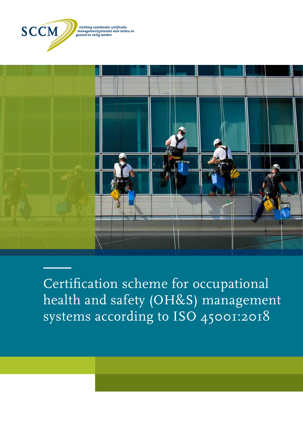

stichting coördinatie certificatie managementsystemen voor milieu en<br>managementsystemen voor milieu en<br>gezond en veilig werken



Certification scheme for occupational health and safety (OH&S) management systems according to ISO 45001:2018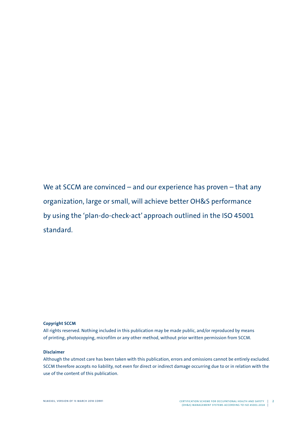We at SCCM are convinced – and our experience has proven – that any organization, large or small, will achieve better OH&S performance by using the 'plan-do-check-act' approach outlined in the ISO 45001 standard.

#### **Copyright SCCM**

All rights reserved. Nothing included in this publication may be made public, and/or reproduced by means of printing, photocopying, microfilm or any other method, without prior written permission from SCCM.

#### **Disclaimer**

Although the utmost care has been taken with this publication, errors and omissions cannot be entirely excluded. SCCM therefore accepts no liability, not even for direct or indirect damage occurring due to or in relation with the use of the content of this publication.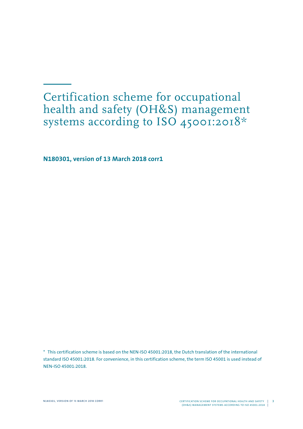Certification scheme for occupational health and safety (OH&S) management systems according to ISO 45001:2018\*

**N180301, version of 13 March 2018 corr1**

\* This certification scheme is based on the NEN-ISO 45001:2018, the Dutch translation of the international standard ISO 45001:2018. For convenience, in this certification scheme, the term ISO 45001 is used instead of NEN-ISO 45001:2018.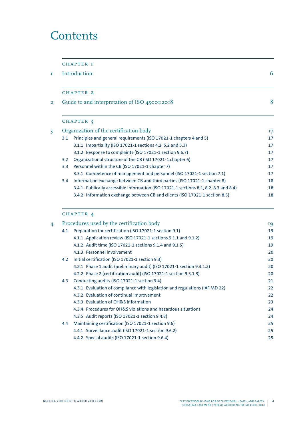## **Contents**

|     | <b>CHAPTER I</b>                                                                     |    |
|-----|--------------------------------------------------------------------------------------|----|
|     | Introduction                                                                         | 6  |
|     | <b>CHAPTER 2</b>                                                                     |    |
|     | Guide to and interpretation of ISO 45001:2018                                        | 8  |
|     | CHAPTER 3                                                                            |    |
|     | Organization of the certification body                                               | I7 |
| 3.1 | Principles and general requirements (ISO 17021-1 chapters 4 and 5)                   | 17 |
|     | 3.1.1 Impartiality (ISO 17021-1 sections 4.2, 5,2 and 5.3)                           | 17 |
|     | 3.1.2 Response to complaints (ISO 17021-1 section 9.6.7)                             | 17 |
| 3.2 | Organizational structure of the CB (ISO 17021-1 chapter 6)                           | 17 |
| 3.3 | Personnel within the CB (ISO 17021-1 chapter 7)                                      | 17 |
|     | 3.3.1 Competence of management and personnel (ISO 17021-1 section 7.1)               | 17 |
| 3.4 | Information exchange between CB and third parties (ISO 17021-1 chapter 8)            | 18 |
|     | 3.4.1 Publically accessible information (ISO 17021-1 sections 8.1, 8.2, 8.3 and 8.4) | 18 |
|     | 3.4.2 Information exchange between CB and clients (ISO 17021-1 section 8.5)          | 18 |

### CHAPTER 4

| 4 | Procedures used by the certification body |                                                                             |    |
|---|-------------------------------------------|-----------------------------------------------------------------------------|----|
|   | 4.1                                       | Preparation for certification (ISO 17021-1 section 9.1)                     | 19 |
|   |                                           | 4.1.1 Application review (ISO 17021-1 sections 9.1.1 and 9.1.2)             | 19 |
|   |                                           | 4.1.2 Audit time (ISO 17021-1 sections 9.1.4 and 9.1.5)                     | 19 |
|   |                                           | 4.1.3 Personnel involvement                                                 | 20 |
|   | 4.2                                       | Initial certification (ISO 17021-1 section 9.3)                             | 20 |
|   |                                           | 4.2.1 Phase 1 audit (preliminary audit) (ISO 17021-1 section 9.3.1.2)       | 20 |
|   |                                           | 4.2.2 Phase 2 (certification audit) (ISO 17021-1 section 9.3.1.3)           | 20 |
|   | 4.3                                       | Conducting audits (ISO 17021-1 section 9.4)                                 | 21 |
|   |                                           | 4.3.1 Evaluation of compliance with legislation and regulations (IAF MD 22) | 22 |
|   |                                           | 4.3.2 Evaluation of continual improvement                                   | 22 |
|   |                                           | 4.3.3 Evaluation of OH&S information                                        | 23 |
|   |                                           | 4.3.4 Procedures for OH&S violations and hazardous situations               | 24 |
|   |                                           | 4.3.5 Audit reports (ISO 17021-1 section 9.4.8)                             | 24 |
|   | $4.4^{\circ}$                             | Maintaining certification (ISO 17021-1 section 9.6)                         | 25 |
|   |                                           | 4.4.1 Surveillance audit (ISO 17021-1 section 9.6.2)                        | 25 |
|   |                                           | 4.4.2 Special audits (ISO 17021-1 section 9.6.4)                            | 25 |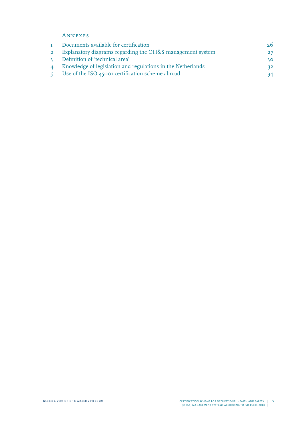### Annexes

| Documents available for certification                       | 26 |
|-------------------------------------------------------------|----|
| Explanatory diagrams regarding the OH&S management system   | 27 |
| Definition of 'technical area'                              | 30 |
| Knowledge of legislation and regulations in the Netherlands | 32 |
| Use of the ISO 45001 certification scheme abroad            | 34 |
|                                                             |    |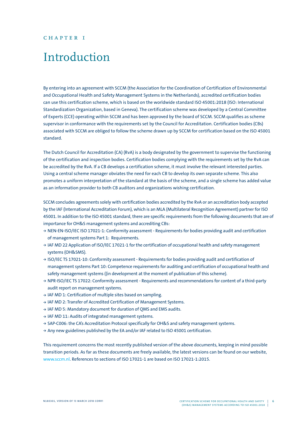#### CHAPTER I

# Introduction

By entering into an agreement with SCCM (the Association for the Coordination of Certification of Environmental and Occupational Health and Safety Management Systems in the Netherlands), accredited certification bodies can use this certification scheme, which is based on the worldwide standard ISO 45001:2018 (ISO: International Standardization Organization, based in Geneva). The certification scheme was developed by a Central Committee of Experts (CCE) operating within SCCM and has been approved by the board of SCCM. SCCM qualifies as scheme supervisor in conformance with the requirements set by the Council for Accreditation. Certification bodies (CBs) associated with SCCM are obliged to follow the scheme drawn up by SCCM for certification based on the ISO 45001 standard.

The Dutch Council for Accreditation (CA) (RvA) is a body designated by the government to supervise the functioning of the certification and inspection bodies. Certification bodies complying with the requirements set by the RvA can be accredited by the RvA. If a CB develops a certification scheme, it must involve the relevant interested parties. Using a central scheme manager obviates the need for each CB to develop its own separate scheme. This also promotes a uniform interpretation of the standard at the basis of the scheme, and a single scheme has added value as an information provider to both CB auditors and organizations wishing certification.

SCCM concludes agreements solely with certification bodies accredited by the RvA or an accreditation body accepted by the IAF (International Accreditation Forum), which is an MLA (Multilateral Recognition Agreement) partner for ISO 45001. In addition to the ISO 45001 standard, there are specific requirements from the following documents that are of importance for OH&S management systems and accrediting CBs:

- **<sup>&</sup>gt;** NEN-EN-ISO/IEC ISO 17021-1: Conformity assessment Requirements for bodies providing audit and certification of management systems Part 1: Requirements.
- **<sup>&</sup>gt;** IAF MD 22 Application of ISO/IEC 17021-1 for the certification of occupational health and safety management systems (OH&SMS).
- **<sup>&</sup>gt;** ISO/IEC TS 17021-10: Conformity assessment Requirements for bodies providing audit and certification of management systems Part 10: Competence requirements for auditing and certification of occupational health and safety management systems ((in development at the moment of publication of this scheme).
- **<sup>&</sup>gt;** NPR-ISO/IEC TS 17022: Conformity assessment Requirements and recommendations for content of a third-party audit report on management systems.
- **<sup>&</sup>gt;** IAF MD 1: Certification of multiple sites based on sampling.
- **<sup>&</sup>gt;** IAF MD 2: Transfer of Accredited Certification of Management Systems.
- **<sup>&</sup>gt;** IAF MD 5: Mandatory document for duration of QMS and EMS audits.
- **<sup>&</sup>gt;** IAF MD 11: Audits of integrated management systems.
- **<sup>&</sup>gt;** SAP-C006: the CA's Accreditation Protocol specifically for OH&S and safety management systems.
- **<sup>&</sup>gt;** Any new guidelines published by the EA and/or IAF related to ISO 45001 certification.

This requirement concerns the most recently published version of the above documents, keeping in mind possible transition periods. As far as these documents are freely available, the latest versions can be found on our website, [www.sccm.nl](https://www.sccm.nl/). References to sections of ISO 17021-1 are based on ISO 17021-1:2015.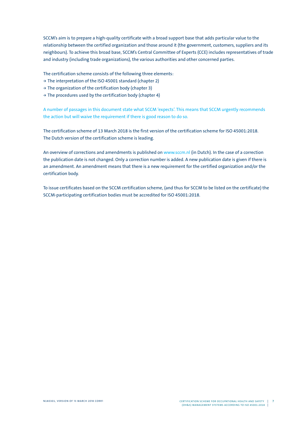SCCM's aim is to prepare a high-quality certificate with a broad support base that adds particular value to the relationship between the certified organization and those around it (the government, customers, suppliers and its neighbours). To achieve this broad base, SCCM's Central Committee of Experts (CCE) includes representatives of trade and industry (including trade organizations), the various authorities and other concerned parties.

The certification scheme consists of the following three elements:

- **<sup>&</sup>gt;** The interpretation of the ISO 45001 standard (chapter 2)
- **<sup>&</sup>gt;** The organization of the certification body (chapter 3)
- **<sup>&</sup>gt;** The procedures used by the certification body (chapter 4)

A number of passages in this document state what SCCM 'expects'. This means that SCCM urgently recommends the action but will waive the requirement if there is good reason to do so.

The certification scheme of 13 March 2018 is the first version of the certification scheme for ISO 45001:2018. The Dutch version of the certification scheme is leading.

An overview of corrections and amendments is published on [www.sccm.nl](https://www.sccm.nl/publicaties-en-downloads/iso-45001-ohsas-18001#Certificatieschema%20en%20eisen%20arbomanagementsysteem) (in Dutch). In the case of a correction the publication date is not changed. Only a correction number is added. A new publication date is given if there is an amendment. An amendment means that there is a new requirement for the certified organization and/or the certification body.

To issue certificates based on the SCCM certification scheme, (and thus for SCCM to be listed on the certificate) the SCCM-participating certification bodies must be accredited for ISO 45001:2018.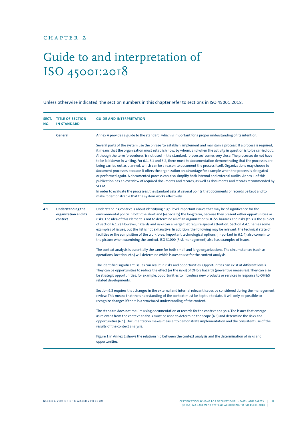### chapter 2

# Guide to and interpretation of ISO 45001:2018

#### Unless otherwise indicated, the section numbers in this chapter refer to sections in ISO 45001:2018.

| NO. | SECT. TITLE OF SECTION<br><b>IN STANDARD</b>                | <b>GUIDE AND INTERPRETATION</b>                                                                                                                                                                                                                                                                                                                                                                                                                                                                                                                                                                                                                                                                                                                                                                                                                                                                                                                                                                                                                                                                                                                          |
|-----|-------------------------------------------------------------|----------------------------------------------------------------------------------------------------------------------------------------------------------------------------------------------------------------------------------------------------------------------------------------------------------------------------------------------------------------------------------------------------------------------------------------------------------------------------------------------------------------------------------------------------------------------------------------------------------------------------------------------------------------------------------------------------------------------------------------------------------------------------------------------------------------------------------------------------------------------------------------------------------------------------------------------------------------------------------------------------------------------------------------------------------------------------------------------------------------------------------------------------------|
|     | General                                                     | Annex A provides a guide to the standard, which is important for a proper understanding of its intention.                                                                                                                                                                                                                                                                                                                                                                                                                                                                                                                                                                                                                                                                                                                                                                                                                                                                                                                                                                                                                                                |
|     |                                                             | Several parts of the system use the phrase 'to establish, implement and maintain a process'. If a process is required,<br>it means that the organization must establish how, by whom, and when the activity in question is to be carried out.<br>Although the term 'procedures' is not used in the standard, 'processes' comes very close. The processes do not have<br>to be laid down in writing. For 6.1, 8.1 and 8.2, there must be documentation demonstrating that the processes are<br>being carried out as planned, which can be a reason to document the process itself. Organizations may choose to<br>document processes because it offers the organization an advantage for example when the process is delegated<br>or performed again. A documented process can also simplify both internal and external audits. Annex 1 of this<br>publication has an overview of required documents and records, as well as documents and records recommended by<br>SCCM.<br>In order to evaluate the processes, the standard asks at several points that documents or records be kept and to<br>make it demonstrable that the system works effectively. |
| 4.1 | <b>Understanding the</b><br>organization and its<br>context | Understanding context is about identifying high-level important issues that may be of significance for the<br>environmental policy in both the short and (especially) the long term, because they present either opportunities or<br>risks. The idea of this element is not to determine all of an organization's OH&S hazards and risks (this is the subject<br>of section 6.1.2). However, hazards and risks can emerge that require special attention. Section A.4.1 names some<br>examples of issues, but the list is not exhaustive. In addition, the following may be relevant: the technical state of<br>facilities or the compisition of the workforce. Important technological options (important in 6.1.4) also come into<br>the picture when examining the context. ISO 31000 (Risk management) also has examples of issues.                                                                                                                                                                                                                                                                                                                  |
|     |                                                             | The context analysis is essentially the same for both small and large organizations. The circumstances (such as<br>operations, location, etc.) will determine which issues to use for the context analysis.                                                                                                                                                                                                                                                                                                                                                                                                                                                                                                                                                                                                                                                                                                                                                                                                                                                                                                                                              |
|     |                                                             | The identified significant issues can result in risks and opportunities. Opportunities can exist at different levels.<br>They can be opportunities to reduce the effect (or the risks) of OH&S hazards (preventive measures). They can also<br>be strategic opportunities, for example, opportunities to introduce new products or services in response to OH&S<br>related developments.                                                                                                                                                                                                                                                                                                                                                                                                                                                                                                                                                                                                                                                                                                                                                                 |
|     |                                                             | Section 9.3 requires that changes in the external and internal relevant issues be considered during the management<br>review. This means that the understanding of the context must be kept up to date. It will only be possible to<br>recognize changes if there is a structured understanding of the context.                                                                                                                                                                                                                                                                                                                                                                                                                                                                                                                                                                                                                                                                                                                                                                                                                                          |
|     |                                                             | The standard does not require using documentation or records for the context analysis. The issues that emerge<br>as relevant from the context analysis must be used to determine the scope (4.3) and determine the risks and<br>opportunities (6.1). Documentation makes it easier to demonstrate implementation and the consistent use of the<br>results of the context analysis.                                                                                                                                                                                                                                                                                                                                                                                                                                                                                                                                                                                                                                                                                                                                                                       |
|     |                                                             | Figure 1 in Annex 2 shows the relationship between the context analysis and the determination of risks and<br>opportunities.                                                                                                                                                                                                                                                                                                                                                                                                                                                                                                                                                                                                                                                                                                                                                                                                                                                                                                                                                                                                                             |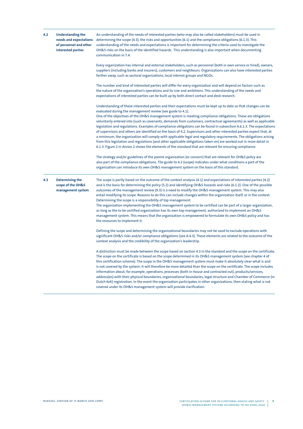| 4.2 | <b>Understanding the</b><br>needs and expectations<br>of personnel and other<br>interested parties | An understanding of the needs of interested parties (who may also be called stakeholders) must be used in<br>determining the scope (4.3), the risks and opportunities (6.1) and the compliance obligations (6.1.3). This<br>understanding of the needs and expectations is important for determining the criteria used to investigate the<br>OH&S risks on the basis of the identified hazards. This understanding is also important when documenting<br>communication in 7.4.                                                                                                                                                                                                                                                                                                                                                                                                                                                                                                                                                                                                                                                                                                                                                                                                                                                                               |  |  |
|-----|----------------------------------------------------------------------------------------------------|--------------------------------------------------------------------------------------------------------------------------------------------------------------------------------------------------------------------------------------------------------------------------------------------------------------------------------------------------------------------------------------------------------------------------------------------------------------------------------------------------------------------------------------------------------------------------------------------------------------------------------------------------------------------------------------------------------------------------------------------------------------------------------------------------------------------------------------------------------------------------------------------------------------------------------------------------------------------------------------------------------------------------------------------------------------------------------------------------------------------------------------------------------------------------------------------------------------------------------------------------------------------------------------------------------------------------------------------------------------|--|--|
|     |                                                                                                    | Every organization has internal and external stakeholders, such as personnel (both in own service or hired), owners,<br>suppliers (including banks and insurers), customers and neighbours. Organizations can also have interested parties<br>farther away, such as sectoral organizations, local interest groups and NGOs.                                                                                                                                                                                                                                                                                                                                                                                                                                                                                                                                                                                                                                                                                                                                                                                                                                                                                                                                                                                                                                  |  |  |
|     |                                                                                                    | The number and kind of interested parties will differ for every organization and will depend on factors such as<br>the nature of the organization's operations and its size and ambitions. This understanding of the needs and<br>expectations of interested parties can be built up by both direct contact and desk research.                                                                                                                                                                                                                                                                                                                                                                                                                                                                                                                                                                                                                                                                                                                                                                                                                                                                                                                                                                                                                               |  |  |
|     |                                                                                                    | Understanding of these interested parties and their expectations must be kept up to date so that changes can be<br>evaluated during the management review (see guide to 4.1).<br>One of the objectives of the OH&S management system is meeting compliance obligations. These are obligations<br>voluntarily entered into (such as covenants, demands from customers, contractual agreements) as well as applicable<br>legislation and regulations. Examples of compliance obligations can be found in subsection A.6.1.3. The expectations<br>of supervisors and others are identified on the basis of 4.2. Supervisors and other interested parties expect that, at<br>a minimum, the organization will comply with applicable legal and regulatory requirements. The obligations arising<br>from this legislation and regulations (and other applicable obligations taken on) are worked out in more detail in<br>6.1.3. Figure 2 in Annex 2 shows the elements of the standard that are relevant for ensuring compliance.<br>The strategy and/or guidelines of the parent organization (or concern) that are relevant for OH&S policy are<br>also part of the compliance obligations. The guide to 4.3 (scope) indicates under what conditions a part of the<br>organization can introduce its own OH&S management system on the basis of this standard. |  |  |
| 4.3 | Determining the<br>scope of the OH&S<br>management system                                          | The scope is partly based on the outcome of the context analysis (4.1) and expectations of interested parties (4.2)<br>and is the basis for determining the policy (5.2) and identifying OH&S hazards and risks (6.1.2). One of the possible<br>outcomes of the management review (9.3) is a need to modify the OH&S management system. This may also<br>entail modifying its scope. Reasons to do this can include changes within the organization itself, or in the context.<br>Determining the scope is a responsibility of top management.<br>The organization implementing the OH&S management system to be certified can be part of a larger organization,<br>as long as the to be certified organization has its own top management, authorized to implement an OH&S<br>management system. This means that the organization is empowered to formulate its own OH&S policy and has<br>the resources to implement it.                                                                                                                                                                                                                                                                                                                                                                                                                                   |  |  |
|     |                                                                                                    | Defining the scope and determining the organizational boundaries may not be used to exclude operations with<br>significant OH&S risks and/or compliance obligations (see A.4.3). These elements are related to the outcome of the<br>context analysis and the credibility of the organization's leadership.                                                                                                                                                                                                                                                                                                                                                                                                                                                                                                                                                                                                                                                                                                                                                                                                                                                                                                                                                                                                                                                  |  |  |
|     |                                                                                                    | A distinction must be made between the scope based on section 4.3 in the standard and the scope on the certificate.<br>The scope on the certificate is based on the scope determined in its OH&S management system (see chapter 4 of<br>this certification scheme). The scope in the OH&S management system must make it absolutely clear what is and<br>is not covered by the system; it will therefore be more detailed than the scope on the certificate. The scope includes<br>information about, for example, operations, processes (both in-house and contracted out), products/services,<br>address(es) with their physical boundaries, organizational boundaries, legal structure and Chamber of Commerce (in<br>Dutch KvK) registration. In the event the organization participates in other organizations, then stating what is not<br>covered under its OH&S management system will provide clarification.                                                                                                                                                                                                                                                                                                                                                                                                                                        |  |  |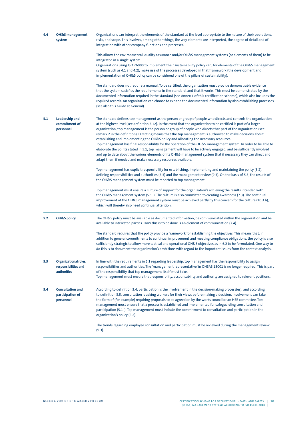| 4.4                                                                                                                 | <b>OH&amp;S management</b><br>system                         | Organizations can interpret the elements of the standard at the level appropriate to the nature of their operations,<br>risks, and scope. This involves, among other things, the way elements are interpreted, the degree of detail and of<br>integration with other company functions and processes.                                                                                                                                                                                                                                                                                                                                                                                                                                                                                                                                                                                                                |  |  |
|---------------------------------------------------------------------------------------------------------------------|--------------------------------------------------------------|----------------------------------------------------------------------------------------------------------------------------------------------------------------------------------------------------------------------------------------------------------------------------------------------------------------------------------------------------------------------------------------------------------------------------------------------------------------------------------------------------------------------------------------------------------------------------------------------------------------------------------------------------------------------------------------------------------------------------------------------------------------------------------------------------------------------------------------------------------------------------------------------------------------------|--|--|
|                                                                                                                     |                                                              | This allows the environmental, quality assurance and/or OH&S management systems (or elements of them) to be<br>integrated in a single system.<br>Organizations using ISO 26000 to implement their sustainability policy can, for elements of the OH&S management<br>system (such as 4.1 and 4.2), make use of the processes developed in that framework (the development and<br>implementation of OH&S policy can be considered one of the pillars of sustainability).                                                                                                                                                                                                                                                                                                                                                                                                                                               |  |  |
|                                                                                                                     |                                                              | The standard does not require a manual. To be certified, the organization must provide demonstrable evidence<br>that the system satisfies the requirements in the standard, and that it works. This must be demonstrated by the<br>documented information required in the standard (see Annex 1 of this certification scheme), which also includes the<br>required records. An organization can choose to expand the documented information by also establishing processes<br>(see also this Guide at General).                                                                                                                                                                                                                                                                                                                                                                                                      |  |  |
| Leadership and<br>5.1<br>commitment of<br>personnel<br>adapt them if needed and make necessary resources available. |                                                              | The standard defines top management as the person or group of people who directs and controls the organization<br>at the highest level (see definition 3.12). In the event that the organization to be certified is part of a larger<br>organization, top management is the person or group of people who directs that part of the organization (see<br>remark 2 in the definition). Directing means that the top management is authorized to make decisions about<br>establishing and implementing the OH&S policy and allocating the necessary resources.<br>Top management has final responsibility for the operation of the OH&S management system. In order to be able to<br>elaborate the points stated in 5.1, top management will have to be actively engaged, and be sufficiently involved<br>and up to date about the various elements of its OH&S management system that if necessary they can direct and |  |  |
|                                                                                                                     |                                                              | Top management has explicit responsibility for establishing, implementing and maintaining the policy (5.2),<br>defining responsibilities and authorities (5.3) and the management review (9.3). On the basis of 5.3, the results of<br>the OH&S management system must be reported to top management.                                                                                                                                                                                                                                                                                                                                                                                                                                                                                                                                                                                                                |  |  |
|                                                                                                                     |                                                              | Top management must ensure a culture of support for the organization's achieving the results intended with<br>the OH&S management system (5.1 j). The culture is also committed to creating awareness (7.3). The continual<br>improvement of the OH&S management system must be achieved partly by this concern for the culture (10.3 b),<br>which will thereby also need continual attention.                                                                                                                                                                                                                                                                                                                                                                                                                                                                                                                       |  |  |
| 5.2                                                                                                                 | <b>OH&amp;S policy</b>                                       | The OH&S policy must be available as documented information, be communicated within the organization and be<br>available to interested parties. How this is to be done is an element of communication (7.4).                                                                                                                                                                                                                                                                                                                                                                                                                                                                                                                                                                                                                                                                                                         |  |  |
|                                                                                                                     |                                                              | The standard requires that the policy provide a framework for establishing the objectives. This means that, in<br>addition to general commitments to continual improvement and meeting compliance obligations, the policy is also<br>sufficiently strategic to allow more tactical and operational OH&S objectives as in 6.2 to be formulated. One way to<br>do this is to document the organization's ambitions with regard to the important issues from the context analysis.                                                                                                                                                                                                                                                                                                                                                                                                                                      |  |  |
| 5.3                                                                                                                 | Organizational roles,<br>responsibilities and<br>authorities | In line with the requirements in 5.1 regarding leadership, top management has the responsibility to assign<br>responsibilities and authorities. The 'management representative' in OHSAS 18001 is no longer required. This is part<br>of the responsibility that top management itself must take.<br>Top management must ensure that responsibility, accountability and authority are assigned to relevant positions.                                                                                                                                                                                                                                                                                                                                                                                                                                                                                                |  |  |
| 5.4                                                                                                                 | <b>Consultation and</b><br>participation of<br>personnel     | According to definition 3.4, participation is the involvement in the decision-making process(es), and according<br>to definition 3.5, consultation is asking workers for their views before making a decision. Involvement can take<br>the form of (for example) requiring proposals to be agreed on by the works council or an HSE committee. Top<br>management must ensure that a process is established and implemented for safeguarding consultation and<br>participation (5.1). Top management must include the commitment to consultation and participation in the<br>organization's policy (5.2).                                                                                                                                                                                                                                                                                                             |  |  |
|                                                                                                                     |                                                              | The trends regarding employee consultation and participation must be reviewed during the management review<br>(9.3).                                                                                                                                                                                                                                                                                                                                                                                                                                                                                                                                                                                                                                                                                                                                                                                                 |  |  |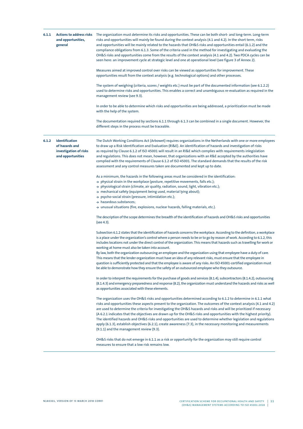| 6.1.1                                                        | <b>Actions to address risks</b><br>and opportunities,<br>general                | The organization must determine its risks and opportunities. These can be both short- and long-term. Long-term<br>risks and opportunities will mainly be found during the context analysis (4.1 and 4.2). In the short term, risks<br>and opportunities will be mainly related to the hazards that OH&S risks and opportunities entail (6.1.2) and the<br>compliance obligations from 6.1.3. Some of the criteria used in the method for investigating and evaluating the<br>OH&S risks and opportunities come from the results of the context analysis (4.1 and 4.2). Two PDCA cycles can be<br>seen here: an improvement cycle at strategic level and one at operational level (see figure 3 of Annex 2).                                                                                                                                                                                                              |  |  |
|--------------------------------------------------------------|---------------------------------------------------------------------------------|--------------------------------------------------------------------------------------------------------------------------------------------------------------------------------------------------------------------------------------------------------------------------------------------------------------------------------------------------------------------------------------------------------------------------------------------------------------------------------------------------------------------------------------------------------------------------------------------------------------------------------------------------------------------------------------------------------------------------------------------------------------------------------------------------------------------------------------------------------------------------------------------------------------------------|--|--|
| management review (see 9.3).<br>with the help of the system. |                                                                                 | Measures aimed at improved control over risks can be viewed as opportunities for improvement. These<br>opportunities result from the context analysis (e.g. technological options) and other processes.                                                                                                                                                                                                                                                                                                                                                                                                                                                                                                                                                                                                                                                                                                                  |  |  |
|                                                              |                                                                                 | The system of weighing (criteria, scores / weights etc.) must be part of the documented information (see 6.1.2.2)<br>used to determine risks and opportunities. This enables a correct and unambiguous re-evaluation as required in the                                                                                                                                                                                                                                                                                                                                                                                                                                                                                                                                                                                                                                                                                  |  |  |
|                                                              |                                                                                 | In order to be able to determine which risks and opportunities are being addressed, a prioritization must be made                                                                                                                                                                                                                                                                                                                                                                                                                                                                                                                                                                                                                                                                                                                                                                                                        |  |  |
|                                                              |                                                                                 | The documentation required by sections 6.1.1 through 6.1.3 can be combined in a single document. However, the<br>different steps in the process must be traceable.                                                                                                                                                                                                                                                                                                                                                                                                                                                                                                                                                                                                                                                                                                                                                       |  |  |
| 6.1.2                                                        | Identification<br>of hazards and<br>investigation of risks<br>and opportunities | The Dutch Working Conditions Act (Arbowet) requires organizations in the Netherlands with one or more employees<br>to draw up a Risk Identification and Evaluation (RI&E). An identification of hazards and investigation of risks<br>as required by Clause 6.1.2 of ISO 45001 will result in an RI&E which complies with requirements inlegislation<br>and regulations. This does not mean, however, that organizations with an R&E accepted by the authorities have<br>complied with the requirements of Clause 6.1.2 of ISO 45001. The standard demands that the results of the risk<br>assessment and any control measures taken are documented and kept up to date.                                                                                                                                                                                                                                                 |  |  |
|                                                              |                                                                                 | As a minimum, the hazards in the following areas must be considered in the identification:<br>$\rightarrow$ physical strain in the workplace (posture, repetitive movements, falls etc.);<br>$\rightarrow$ physiological strain (climate, air quality, radiation, sound, light, vibration etc.);<br>$\rightarrow$ mechanical safety (equipment being used, material lying about);<br>$\rightarrow$ psycho-social strain (pressure, intimidation etc.);                                                                                                                                                                                                                                                                                                                                                                                                                                                                   |  |  |
|                                                              |                                                                                 | $\rightarrow$ hazardous substances;<br>$\rightarrow$ unusual situations (fire, explosions, nuclear hazards, falling materials, etc.).                                                                                                                                                                                                                                                                                                                                                                                                                                                                                                                                                                                                                                                                                                                                                                                    |  |  |
|                                                              |                                                                                 | The description of the scope determines the breadth of the identification of hazards and OH&S risks and opportunities<br>(see 4.3).                                                                                                                                                                                                                                                                                                                                                                                                                                                                                                                                                                                                                                                                                                                                                                                      |  |  |
|                                                              |                                                                                 | Subsection 6.1.2 states that the identification of hazards concerns the workplace. According to the definition, a workplace<br>is a place under the organization's control where a person needs to be or to go by reason of work. According to 6.1.2, this<br>includes locations not under the direct control of the organization. This means that hazards such as travelling for work or<br>working at home must also be taken into account.<br>By law, both the organization outsourcing an employee and the organization using that employee have a duty of care.<br>This means that the lender organization must have an idea of any relevant risks, must ensure that the employee in<br>question is sufficiently protected and that the employee is aware of any risks. An ISO 45001-certified organization must<br>be able to demonstrate how they ensure the safety of an outsourced employee who they outsource. |  |  |
|                                                              |                                                                                 | In order to interpret the requirements for the purchase of goods and services (8.1.4), subcontractors (8.1.4.2), outsourcing<br>(8.1.4.3) and emergency preparedness and response (8.2), the organization must understand the hazards and risks as well<br>as opportunities associated with these elements.                                                                                                                                                                                                                                                                                                                                                                                                                                                                                                                                                                                                              |  |  |
|                                                              |                                                                                 | The organization uses the OH&S risks and opportunities determined according to 6.1.2 to determine in 6.1.1 what<br>risks and opportunities these aspects present to the organization. The outcomes of the context analysis (4.1 and 4.2)<br>are used to determine the criteria for investigating the OH&S hazards and risks and will be prioritized if necessary<br>(A 6.2.1 indicates that the objectives are drawn up for the OH&S risks and opportunities with the highest priority).<br>The identified hazards and OH&S risks and opportunities are used to determine whether legislation and regulations<br>apply (6.1.3), establish objectives (6.2.1), create awareness (7.3), in the necessary monitoring and measurements<br>$(9.1.1)$ and the management review $(9.3)$ .                                                                                                                                      |  |  |
|                                                              |                                                                                 | OH&S risks that do not emerge in 6.1.1 as a risk or opportunity for the organization may still require control<br>measures to ensure that a low risk remains low.                                                                                                                                                                                                                                                                                                                                                                                                                                                                                                                                                                                                                                                                                                                                                        |  |  |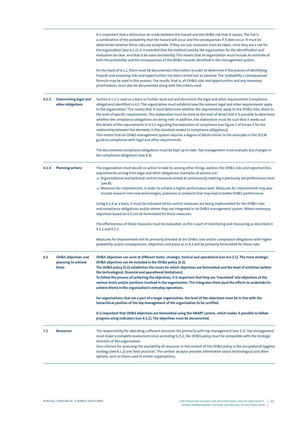|       |                                                               | It is important that a distinction be made between the hazard and the OH&S risk that it causes. The risk is<br>a combination of the probability that the hazard will occur and the consequences if it does occur. It must be<br>determined whether these risks are acceptable. If they are not, measures must be taken, since they are a risk for<br>the organization (see 6.1.1). It is essential that the method used by the organization for the identification and<br>evaluation be clear, and that it be used consistently. This means that an organization must include its estimate of<br>both the probability and the consequences of the OH&S hazards identified in the management system.                                                                                                                                                                                                                                                                                         |
|-------|---------------------------------------------------------------|---------------------------------------------------------------------------------------------------------------------------------------------------------------------------------------------------------------------------------------------------------------------------------------------------------------------------------------------------------------------------------------------------------------------------------------------------------------------------------------------------------------------------------------------------------------------------------------------------------------------------------------------------------------------------------------------------------------------------------------------------------------------------------------------------------------------------------------------------------------------------------------------------------------------------------------------------------------------------------------------|
|       |                                                               | On the basis of 6.1.1, there must be documented information in order to determine if the process of identifying<br>hazards and assessing risks and opportunities has been carried out as planned. The 'probability x consequences'<br>formula may be used in this process. The results, that is, all OH&S risks and opportunities and any necessary<br>prioritization, must also be documented along with the criteria used.                                                                                                                                                                                                                                                                                                                                                                                                                                                                                                                                                                |
| 6.1.3 | Determining legal and<br>other obligations                    | Section 6.1.3 is used as a basis to further work out and document the legal and other requirements (compliance<br>obligations) identified in 4.2. The organization must establish how the relevant legal and other requirements apply<br>to the organization. This means that it must determine whether the requirements apply to the OH&S risks, down to<br>the level of specific requirements. This elaboration must be done to the level of detail that it is possible to determine<br>whether the compliance obligations are being met. In addition, the elaboration must be such that it works out<br>the details of the requirements in 9.1.2 regarding the evaluation of compliance (see figure 2 of Annex 2 for the<br>relationship between the elements in the standard related to compliance obligations).<br>This means that an OH&S management system requires a degree of detail similar to the examples in the SCCM<br>guide to compliance with legal and other requirements. |
|       |                                                               | The documented compliance obligations must be kept up to date. Top management must evaluate any changes in<br>the compliance obligations (see 9.3).                                                                                                                                                                                                                                                                                                                                                                                                                                                                                                                                                                                                                                                                                                                                                                                                                                         |
| 6.1.4 | <b>Planning actions</b>                                       | The organization must decide on action to take to, among other things, address the OH&S risks and opportunities,<br>requirements arising from legal and other obligations. Examples of actions are:<br>$\rightarrow$ Organizational and technical control measures aimed at continuously meeting a previously set performance level<br>(see 8);<br>$\rightarrow$ Measures for improvement, in order to achieve a higher performance level. Measures for improvement may also<br>include research into new technologies, processes or products that may lead to better OH&S performance.                                                                                                                                                                                                                                                                                                                                                                                                     |
|       |                                                               | Using 6.1.4 as a basis, it must be indicated which control measures are being implemented for the OH&S risks<br>and compliance obligations and/or where they are integrated in its OH&S management system. Where necessary,<br>objectives based on 6.2 can be formulated for these measures.                                                                                                                                                                                                                                                                                                                                                                                                                                                                                                                                                                                                                                                                                                |
|       |                                                               | The effectiveness of these measures must be evaluated, as this is part of monitoring and measuring as described in<br>9.1.1 and 9.1.2.                                                                                                                                                                                                                                                                                                                                                                                                                                                                                                                                                                                                                                                                                                                                                                                                                                                      |
|       |                                                               | Measures for improvement will be primarily directed at the OH&S risks and/or compliance obligations with higher<br>probability and/or consequences. Objectives and plans as in 6.2 will be primarily formulated for these risks.                                                                                                                                                                                                                                                                                                                                                                                                                                                                                                                                                                                                                                                                                                                                                            |
| 6.2   | <b>OH&amp;S</b> objectives and<br>planning to achieve<br>them | OH&S objectives can exist at different levels: strategic, tactical and operational (see A.6.2.1). The more strategic<br>OH&S objectives can be included in the OH&S policy (5.2).<br>The OH&S policy (5.2) establishes the issues for which objectives are formulated and the level of ambition (within                                                                                                                                                                                                                                                                                                                                                                                                                                                                                                                                                                                                                                                                                     |
|       |                                                               | the technological, financial and operational limitations).<br>To follow the process of achieving the objectives, it is important that they are 'translated' into objectives at the<br>various levels and/or positions involved in the organization. This integrates them (and the efforts to undertake to<br>achieve them) in the organization's everyday operations.                                                                                                                                                                                                                                                                                                                                                                                                                                                                                                                                                                                                                       |
|       |                                                               | For organizations that are a part of a larger organization, the level of the objectives must be in line with the<br>hierarchical position of the top management of the organization to be certified.                                                                                                                                                                                                                                                                                                                                                                                                                                                                                                                                                                                                                                                                                                                                                                                        |
|       |                                                               | It is important that OH&S objectives are formulated using the SMART system, which makes it possible to follow<br>progress using indicators (see 9.1.1). The objectives must be documented.                                                                                                                                                                                                                                                                                                                                                                                                                                                                                                                                                                                                                                                                                                                                                                                                  |
| 7.1   | <b>Resources</b>                                              | The responsibility for allocating sufficient resources lies primarily with top management (see 5.1). Top management<br>must make a complete assessment since according to 5.1, the OH&S policy must be compatible with the strategic<br>direction of the organization.<br>One criterion for assessing the availability of resources in the context of the OH&S policy is the occupational hygiene<br>strategy (see 8.1.2) and 'best practices'. The context analysis provides information about technological and other                                                                                                                                                                                                                                                                                                                                                                                                                                                                     |
|       |                                                               | options, such as those used in similar organizations.                                                                                                                                                                                                                                                                                                                                                                                                                                                                                                                                                                                                                                                                                                                                                                                                                                                                                                                                       |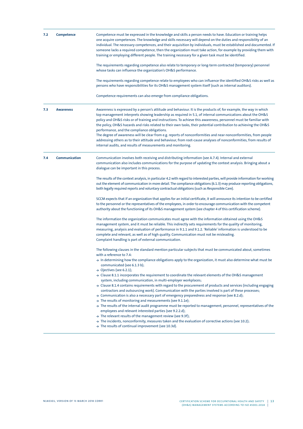| 7.2 | Competence       | Competence must be expressed in the knowledge and skills a person needs to have. Education or training helps<br>one acquire competences. The knowledge and skills necessary will depend on the duties and responsibility of an<br>individual. The necessary competences, and their acquisition by individuals, must be established and documented. If<br>someone lacks a required competence, then the organization must take action, for example by providing them with<br>training or employing different people. The training necessary for a given task must be identified.<br>The requirements regarding competence also relate to temporary or long-term contracted (temporary) personnel<br>whose tasks can influence the organization's OH&S performance.<br>The requirements regarding competence relate to employees who can influence the identified OH&S risks as well as<br>persons who have responsibilities for its OH&S management system itself (such as internal auditors). |
|-----|------------------|-----------------------------------------------------------------------------------------------------------------------------------------------------------------------------------------------------------------------------------------------------------------------------------------------------------------------------------------------------------------------------------------------------------------------------------------------------------------------------------------------------------------------------------------------------------------------------------------------------------------------------------------------------------------------------------------------------------------------------------------------------------------------------------------------------------------------------------------------------------------------------------------------------------------------------------------------------------------------------------------------|
|     |                  | Competence requirements can also emerge from compliance obligations.                                                                                                                                                                                                                                                                                                                                                                                                                                                                                                                                                                                                                                                                                                                                                                                                                                                                                                                          |
| 7.3 | <b>Awareness</b> | Awareness is expressed by a person's attitude and behaviour. It is the products of, for example, the way in which<br>top management interprets showing leadership as required in 5.1, of internal communications about the OH&S<br>policy and OH&S risks or of training and instructions. To achieve this awareness, personnel must be familiar with<br>the policy, OH&S hazards and risks related to their own tasks, their potential contribution to achieving the OH&S<br>performance, and the compliance obligations.<br>The degree of awareness will be clear from e.g. reports of nonconformities and near-nonconformities, from people<br>addressing others as to their attitude and behaviour, from root-cause analyses of nonconformities, from results of<br>internal audits, and results of measurements and monitoring.                                                                                                                                                           |
| 7.4 | Communication    | Communication involves both receiving and distributing information (see A.7.4). Internal and external<br>communication also includes communications for the purpose of updating the context analysis. Bringing about a<br>dialogue can be important in this process.                                                                                                                                                                                                                                                                                                                                                                                                                                                                                                                                                                                                                                                                                                                          |
|     |                  | The results of the context analysis, in particular 4.2 with regard to interested parties, will provide information for working<br>out the element of communication in more detail. The compliance obligations (6.1.3) may produce reporting obligations,<br>both legally required reports and voluntary contractual obligations (such as Responsible Care).                                                                                                                                                                                                                                                                                                                                                                                                                                                                                                                                                                                                                                   |
|     |                  | SCCM expects that if an organization that applies for an initial certificate, it will announce its intention to be certified<br>to the personnel or the representatives of the employees, in order to encourage communication with the competent<br>authority about the functioning of its OH&S management system (see chapter 4 of this certification scheme).                                                                                                                                                                                                                                                                                                                                                                                                                                                                                                                                                                                                                               |
|     |                  | The information the organization communicates must agree with the information obtained using the OH&S<br>management system, and it must be reliable. This indirectly sets requirements for the quality of monitoring,<br>measuring, analysis and evaluation of performance in 9.1.1 and 9.1.2. 'Reliable' information is understood to be<br>complete and relevant, as well as of high quality. Communication must not be misleading.<br>Complaint handling is part of external communication.                                                                                                                                                                                                                                                                                                                                                                                                                                                                                                |
|     |                  | The following clauses in the standard mention particular subjects that must be communicated about, sometimes<br>with a reference to 7.4:<br>$\rightarrow$ In determining how the compliance obligations apply to the organization, it must also determine what must be<br>communicated (see 6.1.3 b);<br>$\rightarrow$ Ojectives (see 6.2.1);                                                                                                                                                                                                                                                                                                                                                                                                                                                                                                                                                                                                                                                 |
|     |                  | → Clause 8.1.1 incorporates the requirement to coordinate the relevant elements of the OH&S management<br>system, including communication, in multi-employer workplaces;<br>$\rightarrow$ Clause 8.1.4 contains requirements with regard to the procurement of products and services (including engaging                                                                                                                                                                                                                                                                                                                                                                                                                                                                                                                                                                                                                                                                                      |
|     |                  | contractors and outsourcing work). Communication with the parties involved is part of these processes;<br>→ Communication is also a necessary part of emergency preparedness and response (see 8.2.d);<br>$\rightarrow$ The results of monitoring and measurements (see 9.1.1e);                                                                                                                                                                                                                                                                                                                                                                                                                                                                                                                                                                                                                                                                                                              |
|     |                  | → The results of the internal audit programme must be reported to management, personnel, representatives of the<br>employees and relevant interested parties (see 9.2.2.d);<br>$\rightarrow$ The relevant results of the management review (see 9.3f);                                                                                                                                                                                                                                                                                                                                                                                                                                                                                                                                                                                                                                                                                                                                        |
|     |                  | $\rightarrow$ The incidents, nonconformity, measures taken and the evaluation of corrective actions (see 10.2);<br>$\rightarrow$ The results of continual improvement (see 10.3d).                                                                                                                                                                                                                                                                                                                                                                                                                                                                                                                                                                                                                                                                                                                                                                                                            |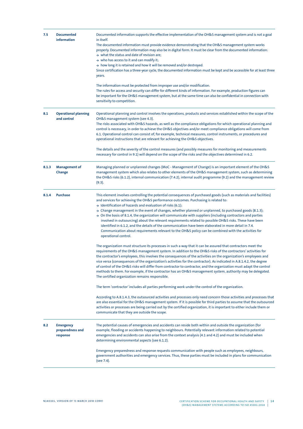| 7.5   | <b>Documented</b><br>information                 | Documented information supports the effective implementation of the OH&S management system and is not a goal<br>in itself.<br>The documented information must provide evidence demonstrating that the OH&S management system works<br>properly. Documented information may also be in digital form. It must be clear from the documented information:<br>$\rightarrow$ what the status and date of revision are;<br>$\rightarrow$ who has access to it and can modify it;<br>$\rightarrow$ how long it is retained and how it will be removed and/or destroyed.<br>Since certification has a three-year cycle, the documented information must be kept and be accessible for at least three<br>years.<br>The information must be protected from improper use and/or modification.<br>The rules for access and security can differ for different kinds of information. For example, production figures can<br>be important for the OH&S management system, but at the same time can also be confidential in connection with<br>sensitivity to competition. |
|-------|--------------------------------------------------|-----------------------------------------------------------------------------------------------------------------------------------------------------------------------------------------------------------------------------------------------------------------------------------------------------------------------------------------------------------------------------------------------------------------------------------------------------------------------------------------------------------------------------------------------------------------------------------------------------------------------------------------------------------------------------------------------------------------------------------------------------------------------------------------------------------------------------------------------------------------------------------------------------------------------------------------------------------------------------------------------------------------------------------------------------------|
| 8.1   | <b>Operational planning</b><br>and control       | Operational planning and control involves the operations, products and services established within the scope of the<br>OH&S management system (see 4.3).<br>The risks associated with OH&S hazards, as well as the compliance obligations for which operational planning and<br>control is necessary, in order to achieve the OH&S objectives and/or meet compliance obligations will come from<br>6.1. Operational control can consist of, for example, technical measures, control instruments, or procedures and<br>operational instructions that are relevant for achieving the OH&S objectives.                                                                                                                                                                                                                                                                                                                                                                                                                                                      |
|       |                                                  | The details and the severity of the control measures (and possibly measures for monitoring and measurements<br>necessary for control in 9.1) will depend on the scope of the risks and the objectives determined in 6.2.                                                                                                                                                                                                                                                                                                                                                                                                                                                                                                                                                                                                                                                                                                                                                                                                                                  |
| 8.1.3 | <b>Management of</b><br>Change                   | Managing planned or unplanned changes (MoC - Management of Change) is an important element of the OH&S<br>management system which also relates to other elements of the OH&S management system, such as determining<br>the OH&S risks (6.1.2), internal communication (7.4.2), internal audit programme (9.2) and the management review<br>(9.3).                                                                                                                                                                                                                                                                                                                                                                                                                                                                                                                                                                                                                                                                                                         |
| 8.1.4 | <b>Purchase</b>                                  | This element involves controlling the potential consequences of purchased goods (such as materials and facilities)<br>and services for achieving the OH&S performance outcomes. Purchasing is related to:<br>$\rightarrow$ Identification of hazards and evaluation of risks (6.1);<br>$\rightarrow$ Change management in the event of changes, whether planned or unplanned, to purchased goods (8.1.3);<br>$\rightarrow$ On the basis of 8.1.4, the organization will communicate with suppliers (including contractors and parties<br>involved in outsourcing) about the relevant requirements related to possible OH&S risks. These have been<br>identified in 6.1.2, and the details of the communication have been elaborated in more detail in 7.4.<br>Communication about requirements relevant to the OH&S policy can be combined with the activities for<br>operational control.                                                                                                                                                                |
|       |                                                  | The organization must structure its processes in such a way that it can be assured that contractors meet the<br>requirements of the OH&S management system. In addition to the OH&S risks of the contractors' activities for<br>the contractor's employees, this involves the consequences of the activities on the organization's employees and<br>vice versa (consequences of the organization's activities for the contractor). As indicated in A.8.1.4.2, the degree<br>of control of the OH&S risks will differ from contractor to contractor, and the organization must adapt the control<br>methods to them. For example, if the contractor has an OH&S management system, authority may be delegated.<br>The certified organization remains responsible.                                                                                                                                                                                                                                                                                          |
|       |                                                  | The term 'contractor' includes all parties performing work under the control of the organization.                                                                                                                                                                                                                                                                                                                                                                                                                                                                                                                                                                                                                                                                                                                                                                                                                                                                                                                                                         |
|       |                                                  | According to A.8.1.4.3, the outsourced activities and processes only need concern those activities and processes that<br>are also essential for the OH&S management system. If it is possible for third parties to assume that the outsourced<br>activities or processes are being carried out by the certified organization, it is important to either include them or<br>communicate that they are outside the scope.                                                                                                                                                                                                                                                                                                                                                                                                                                                                                                                                                                                                                                   |
| 8.2   | <b>Emergency</b><br>preparedness and<br>response | The potential causes of emergencies and accidents can reside both within and outside the organization (for<br>example, flooding or accidents happening to neighbours. Potentially relevant information related to potential<br>emergencies and accidents can also arise from the context analysis (4.1 and 4.2) and must be included when<br>determining environmental aspects (see 6.1.2).                                                                                                                                                                                                                                                                                                                                                                                                                                                                                                                                                                                                                                                               |
|       |                                                  | Emergency preparedness and response requests communication with people such as employees, neighbours,<br>government authorities and emergency services. Thus, these parties must be included in plans for communication<br>(see 7.4).                                                                                                                                                                                                                                                                                                                                                                                                                                                                                                                                                                                                                                                                                                                                                                                                                     |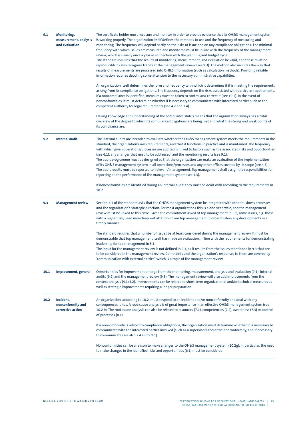| Monitoring,<br>9.1<br>measurement, analysis<br>and evaluation |                                                     | The certificate holder must measure and monitor in order to provide evidence that its OH&S management system<br>is working properly. The organization itself defines the methods to use and the frequency of measuring and<br>monitoring. The frequency will depend partly on the risks at issue and on any compliance obligations. The minimal<br>frequency with which issues are measured and monitored must be in line with the frequency of the management<br>review, which is usually once a year in connection with the planning and budget cycle.<br>The standard requires that the results of monitoring, measurement, and evaluation be valid, and these must be<br>reproducible to also recognize trends at the management review (see 9.3). The method also includes the way that<br>results of measurements are processed into OH&S information (such as calculation methods). Providing reliable<br>information requires devoting some attention to the necessary administrative capabilities. |
|---------------------------------------------------------------|-----------------------------------------------------|-------------------------------------------------------------------------------------------------------------------------------------------------------------------------------------------------------------------------------------------------------------------------------------------------------------------------------------------------------------------------------------------------------------------------------------------------------------------------------------------------------------------------------------------------------------------------------------------------------------------------------------------------------------------------------------------------------------------------------------------------------------------------------------------------------------------------------------------------------------------------------------------------------------------------------------------------------------------------------------------------------------|
|                                                               |                                                     | An organization itself determines the form and frequency with which it determines if it is meeting the requirements<br>arising from its compliance obligations. The frequency depends on the risks associated with particular requirements.<br>If a noncompliance is identified, measures must be taken to control and correct it (see 10.1). In the event of<br>nonconformities, it must determine whether it is necessary to communicate with interested parties such as the<br>competent authority for legal requirements (see 4.2 and 7.4).                                                                                                                                                                                                                                                                                                                                                                                                                                                             |
|                                                               |                                                     | Having knowledge and understanding of the compliance status means that the organization always has a total<br>overview of the degree to which its compliance obligations are being met and what the strong and weak points of<br>its compliance are.                                                                                                                                                                                                                                                                                                                                                                                                                                                                                                                                                                                                                                                                                                                                                        |
| 9.2                                                           | <b>Internal audit</b>                               | The internal audits are intended to evaluate whether the OH&S management system meets the requirements in the<br>standard, the organization's own requirements, and that it functions in practice and is maintained. The frequency<br>with which given operations/processes are audited is linked to factors such as the associated risks and opportunities<br>(see 6.1), any changes that need to be addressed, and the monitoring results (see 9.1).<br>The audit programme must be designed so that the organization can make an evaluation of the implementation<br>of its OH&S management system in all operations/processes and any other offices covered by its scope (see 4.3).<br>The audit results must be reported to 'relevant' management. Top management shall assign the responsibilities for<br>reporting on the performance of the management system (see 5.3).                                                                                                                            |
|                                                               |                                                     | If nonconformities are identified during an internal audit, they must be dealt with according to the requirements in<br>10.2.                                                                                                                                                                                                                                                                                                                                                                                                                                                                                                                                                                                                                                                                                                                                                                                                                                                                               |
| 9.3                                                           | <b>Management review</b>                            | Section 5.1 of the standard asks that the OH&S management system be integrated with other business processes<br>and the organization's strategic direction. For most organizations this is a one-year cycle, and the management<br>review must be linked to this cycle. Given the commitment asked of top management in 5.1, some issues, e.g. those<br>with a higher risk, need more frequent attention from top management in order to steer any developments in a<br>timely manner.                                                                                                                                                                                                                                                                                                                                                                                                                                                                                                                      |
|                                                               |                                                     | The standard requires that a number of issues be at least considered during the management review. It must be<br>demonstrable that top management itself has made an evaluation, in line with the requirements for demonstrating<br>leadership for top management in 5.1.<br>The input for the management review is not defined in 9.3, as it results from the issues mentioned in 9.3 that are<br>to be considered in the management review. Complaints and the organization's responses to them are covered by<br>'communication with external parties', which is a topic of the management review.                                                                                                                                                                                                                                                                                                                                                                                                       |
| 10.1                                                          | Improvement, general                                | Opportunities for improvement emerge from the monitoring, measurement, analysis and evaluation (9.1), internal<br>audits (9.2) and the management review (9.3). The management review will also add improvements from the<br>context analysis (4.1/4.2). Improvements can be related to short-term organizational and/or technical measures as<br>well as strategic improvements requiring a longer preparation.                                                                                                                                                                                                                                                                                                                                                                                                                                                                                                                                                                                            |
| 10.2                                                          | Incident,<br>nonconformity and<br>corrective action | An organization, according to 10.2, must respond to an incident and/or nonconformity and deal with any<br>consequences it has. A root-cause analysis is of great importance in an effective OH&S management system (see<br>10.2 b). The root-cause analysis can also be related to resources (7.1), competencies (7.2), awareness (7.3) or control<br>of processes (8.1).                                                                                                                                                                                                                                                                                                                                                                                                                                                                                                                                                                                                                                   |
|                                                               |                                                     | If a nonconformity is related to compliance obligations, the organization must determine whether it is necessary to<br>communicate with the interested parties involved (such as a supervisor) about the nonconformity, and if necessary<br>to communicate (see also 7.4 and 9.1.1).                                                                                                                                                                                                                                                                                                                                                                                                                                                                                                                                                                                                                                                                                                                        |
|                                                               |                                                     | Nonconformities can be a reason to make changes to the OH&S management system (10.2g). In particular, the need<br>to make changes in the identified risks and opportunities (6.1) must be considered.                                                                                                                                                                                                                                                                                                                                                                                                                                                                                                                                                                                                                                                                                                                                                                                                       |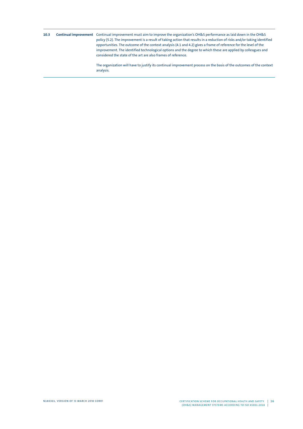**10.3 Continual improvement** Continual improvement must aim to improve the organization's OH&S performance as laid down in the OH&S policy (5.2). The improvement is a result of taking action that results in a reduction of risks and/or taking identified opportunities. The outcome of the context analysis (4.1 and 4.2) gives a frame of reference for the level of the improvement. The identified technological options and the degree to which these are applied by colleagues and considered the state of the art are also frames of reference.

> The organization will have to justify its continual improvement process on the basis of the outcomes of the context analysis.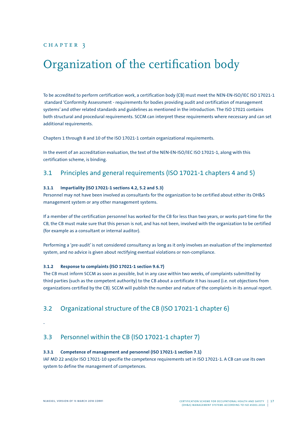# Organization of the certification body

To be accredited to perform certification work, a certification body (CB) must meet the NEN-EN-ISO/IEC ISO 17021-1 standard 'Conformity Assessment - requirements for bodies providing audit and certification of management systems' and other related standards and guidelines as mentioned in the introduction. The ISO 17021 contains both structural and procedural requirements. SCCM can interpret these requirements where necessary and can set additional requirements.

Chapters 1 through 8 and 10 of the ISO 17021-1 contain organizational requirements.

In the event of an accreditation evaluation, the text of the NEN-EN-ISO/IEC ISO 17021-1, along with this certification scheme, is binding.

### 3.1 Principles and general requirements (ISO 17021-1 chapters 4 and 5)

#### **3.1.1 Impartiality (ISO 17021-1 sections 4.2, 5.2 and 5.3)**

Personnel may not have been involved as consultants for the organization to be certified about either its OH&S management system or any other management systems.

If a member of the certification personnel has worked for the CB for less than two years, or works part-time for the CB, the CB must make sure that this person is not, and has not been, involved with the organization to be certified (for example as a consultant or internal auditor).

Performing a 'pre-audit' is not considered consultancy as long as it only involves an evaluation of the implemented system, and no advice is given about rectifying eventual violations or non-compliance.

#### **3.1.2 Response to complaints (ISO 17021-1 section 9.6.7)**

The CB must inform SCCM as soon as possible, but in any case within two weeks, of complaints submitted by third parties (such as the competent authority) to the CB about a certificate it has issued (i.e. not objections from organizations certified by the CB). SCCM will publish the number and nature of the complaints in its annual report.

### 3.2 Organizational structure of the CB (ISO 17021-1 chapter 6)

-

### 3.3 Personnel within the CB (ISO 17021-1 chapter 7)

#### **3.3.1 Competence of management and personnel (ISO 17021-1 section 7.1)**

IAF MD 22 and/or ISO 17021-10 specifie the competence requirements set in ISO 17021-1. A CB can use its own system to define the management of competences.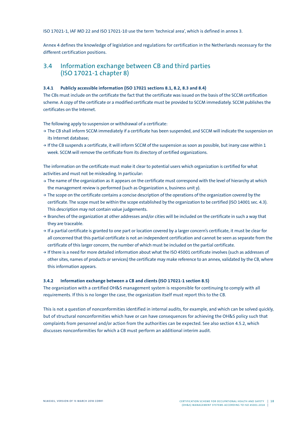ISO 17021-1, IAF MD 22 and ISO 17021-10 use the term 'technical area', which is defined in annex 3.

Annex 4 defines the knowledge of legislation and regulations for certification in the Netherlands necessary for the different certification positions.

### 3.4 Information exchange between CB and third parties (ISO 17021-1 chapter 8)

#### **3.4.1 Publicly accessible information (ISO 17021 sections 8.1, 8.2, 8.3 and 8.4)**

The CBs must include on the certificate the fact that the certificate was issued on the basis of the SCCM certification scheme. A copy of the certificate or a modified certificate must be provided to SCCM immediately. SCCM publishes the certificates on the Internet.

The following apply to suspension or withdrawal of a certificate:

- **<sup>&</sup>gt;** The CB shall inform SCCM immediately if a certificate has been suspended, and SCCM will indicate the suspension on its Internet database;
- **<sup>&</sup>gt;** If the CB suspends a certificate, it will inform SCCM of the suspension as soon as possible, but inany case within 1 week. SCCM will remove the certificate from its directory of certified organizations.

The information on the certificate must make it clear to potential users which organization is certified for what activities and must not be misleading. In particular:

- **<sup>&</sup>gt;** The name of the organization as it appears on the certificate must correspond with the level of hierarchy at which the management review is performed (such as Organization x, business unit y).
- **<sup>&</sup>gt;** The scope on the certificate contains a concise description of the operations of the organization covered by the certificate. The scope must be within the scope established by the organization to be certified (ISO 14001 sec. 4.3). This description may not contain value judgements.
- **<sup>&</sup>gt;** Branches of the organization at other addresses and/or cities will be included on the certificate in such a way that they are traceable.
- **<sup>&</sup>gt;** If a partial certificate is granted to one part or location covered by a larger concern's certificate, it must be clear for all concerned that this partial certificate is not an independent certification and cannot be seen as separate from the certificate of this larger concern, the number of which must be included on the partial certificate.
- **<sup>&</sup>gt;** If there is a need for more detailed information about what the ISO 45001 certificate involves (such as addresses of other sites, names of products or services) the certificate may make reference to an annex, validated by the CB, where this information appears.

#### **3.4.2 Information exchange between a CB and clients (ISO 17021-1 section 8.5)**

The organization with a certified OH&S management system is responsible for continuing to comply with all requirements. If this is no longer the case, the organization itself must report this to the CB.

This is not a question of nonconformities identified in internal audits, for example, and which can be solved quickly, but of structural nonconformities which have or can have consequences for achieving the OH&S policy such that complaints from personnel and/or action from the authorities can be expected. See also section 4.5.2, which discusses nonconformities for which a CB must perform an additional interim audit.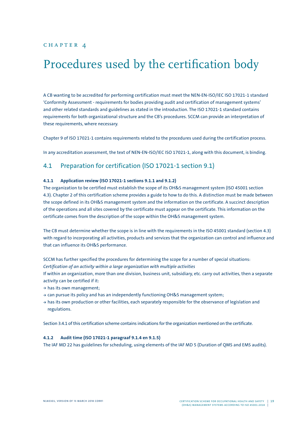# Procedures used by the certification body

A CB wanting to be accredited for performing certification must meet the NEN-EN-ISO/IEC ISO 17021-1 standard 'Conformity Assessment - requirements for bodies providing audit and certification of management systems' and other related standards and guidelines as stated in the introduction. The ISO 17021-1 standard contains requirements for both organizational structure and the CB's procedures. SCCM can provide an interpretation of these requirements, where necessary.

Chapter 9 of ISO 17021-1 contains requirements related to the procedures used during the certification process.

In any accreditation assessment, the text of NEN-EN-ISO/IEC ISO 17021-1, along with this document, is binding.

### 4.1 Preparation for certification (ISO 17021-1 section 9.1)

#### **4.1.1 Application review (ISO 17021-1 sections 9.1.1 and 9.1.2)**

The organization to be certified must establish the scope of its OH&S management system (ISO 45001 section 4.3). Chapter 2 of this certification scheme provides a guide to how to do this. A distinction must be made between the scope defined in its OH&S management system and the information on the certificate. A succinct description of the operations and all sites covered by the certificate must appear on the certificate. This information on the certificate comes from the description of the scope within the OH&S management system.

The CB must determine whether the scope is in line with the requirements in the ISO 45001 standard (section 4.3) with regard to incorporating all activities, products and services that the organization can control and influence and that can influence its OH&S performance.

SCCM has further specified the procedures for determining the scope for a number of special situations: *Certification of an activity within a large organization with multiple activities*

If within an organization, more than one division, business unit, subsidiary, etc. carry out activities, then a separate activity can be certified if it:

- **<sup>&</sup>gt;** has its own management;
- **<sup>&</sup>gt;** can pursue its policy and has an independently functioning OH&S management system;
- **<sup>&</sup>gt;** has its own production or other facilities, each separately responsible for the observance of legislation and regulations.

Section 3.4.1 of this certification scheme contains indications for the organization mentioned on the certificate.

#### **4.1.2 Audit time (ISO 17021-1 paragraaf 9.1.4 en 9.1.5)**

The IAF MD 22 has guidelines for scheduling, using elements of the IAF MD 5 (Duration of QMS and EMS audits).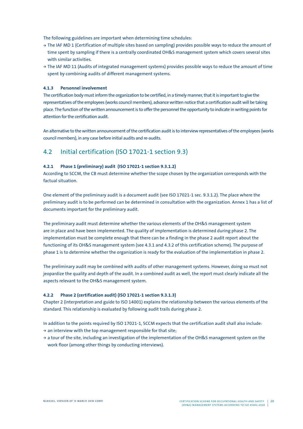The following guidelines are important when determining time schedules:

- **<sup>&</sup>gt;** The IAF MD 1 (Certification of multiple sites based on sampling) provides possible ways to reduce the amount of time spent by sampling if there is a centrally coordinated OH&S management system which covers several sites with similar activities.
- **<sup>&</sup>gt;** The IAF MD 11 (Audits of integrated management systems) provides possible ways to reduce the amount of time spent by combining audits of different management systems.

#### **4.1.3 Personnel involvement**

The certification body must inform the organization to be certified, in a timely manner, that it is important to give the representatives of the employees (works council members), advance written notice that a certification audit will be taking place. The function of the written announcement is to offer the personnel the opportunity to indicate in writing points for attention for the certification audit.

An alternative to the written announcement of the certification audit is to interview representatives of the employees (works council members), in any case before initial audits and re-audits.

### 4.2 Initial certification (ISO 17021-1 section 9.3)

#### **4.2.1 Phase 1 (preliminary) audit (ISO 17021-1 section 9.3.1.2)**

According to SCCM, the CB must determine whether the scope chosen by the organization corresponds with the factual situation.

One element of the preliminary audit is a document audit (see ISO 17021-1 sec. 9.3.1.2). The place where the preliminary audit is to be performed can be determined in consultation with the organization. Annex 1 has a list of documents important for the preliminary audit.

The preliminary audit must determine whether the various elements of the OH&S management system are in place and have been implemented. The quality of implementation is determined during phase 2. The implementation must be complete enough that there can be a finding in the phase 2 audit report about the functioning of its OH&S management system (see 4.3.1 and 4.3.2 of this certification scheme). The purpose of phase 1 is to determine whether the organization is ready for the evaluation of the implementation in phase 2.

The preliminary audit may be combined with audits of other management systems. However, doing so must not jeopardize the quality and depth of the audit. In a combined audit as well, the report must clearly indicate all the aspects relevant to the OH&S management system.

#### **4.2.2 Phase 2 (certification audit) (ISO 17021-1 section 9.3.1.3)**

Chapter 2 (interpretation and guide to ISO 14001) explains the relationship between the various elements of the standard. This relationship is evaluated by following audit trails during phase 2.

In addition to the points required by ISO 17021-1, SCCM expects that the certification audit shall also include:

- **<sup>&</sup>gt;** an interview with the top management responsible for that site;
- **<sup>&</sup>gt;** a tour of the site, including an investigation of the implementation of the OH&S management system on the work floor (among other things by conducting interviews).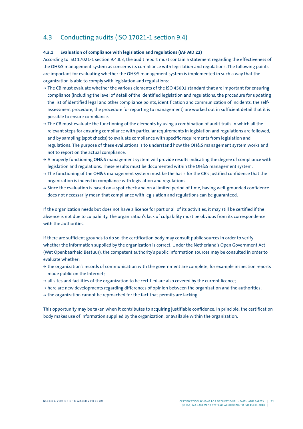## 4.3 Conducting audits (ISO 17021-1 section 9.4)

#### **4.3.1 Evaluation of compliance with legislation and regulations (IAF MD 22)**

According to ISO 17021-1 section 9.4.8.3, the audit report must contain a statement regarding the effectiveness of the OH&S management system as concerns its compliance with legislation and regulations. The following points are important for evaluating whether the OH&S management system is implemented in such a way that the organization is able to comply with legislation and regulations:

- **<sup>&</sup>gt;** The CB must evaluate whether the various elements of the ISO 45001 standard that are important for ensuring compliance (including the level of detail of the identified legislation and regulations, the procedure for updating the list of identified legal and other compliance points, identification and communication of incidents, the selfassessment procedure, the procedure for reporting to management) are worked out in sufficient detail that it is possible to ensure compliance.
- **<sup>&</sup>gt;** The CB must evaluate the functioning of the elements by using a combination of audit trails in which all the relevant steps for ensuring compliance with particular requirements in legislation and regulations are followed, and by sampling (spot checks) to evaluate compliance with specific requirements from legislation and regulations. The purpose of these evaluations is to understand how the OH&S management system works and not to report on the actual compliance.
- **<sup>&</sup>gt;** A properly functioning OH&S management system will provide results indicating the degree of compliance with legislation and regulations. These results must be documented within the OH&S management system.
- **<sup>&</sup>gt;** The functioning of the OH&S management system must be the basis for the CB's justified confidence that the organization is indeed in compliance with legislation and regulations.
- **<sup>&</sup>gt;** Since the evaluation is based on a spot check and on a limited period of time, having well-grounded confidence does not necessarily mean that compliance with legislation and regulations can be guaranteed.

If the organization needs but does not have a licence for part or all of its activities, it may still be certified if the absence is not due to culpability. The organization's lack of culpability must be obvious from its correspondence with the authorities.

If there are sufficient grounds to do so, the certification body may consult public sources in order to verify whether the information supplied by the organization is correct. Under the Netherland's Open Government Act (Wet Openbaarheid Bestuur), the competent authority's public information sources may be consulted in order to evaluate whether:

- **<sup>&</sup>gt;** the organization's records of communication with the government are complete, for example inspection reports made public on the Internet;
- **<sup>&</sup>gt;** all sites and facilities of the organization to be certified are also covered by the current licence;
- **<sup>&</sup>gt;** here are new developments regarding differences of opinion between the organization and the authorities;
- **<sup>&</sup>gt;** the organization cannot be reproached for the fact that permits are lacking.

This opportunity may be taken when it contributes to acquiring justifiable confidence. In principle, the certification body makes use of information supplied by the organization, or available within the organization.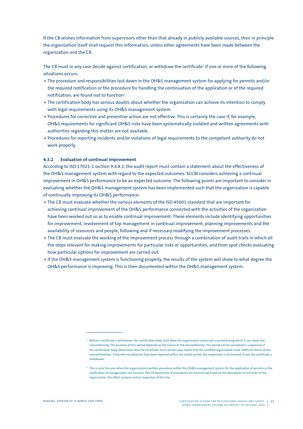If the CB wishes information from supervisors other than that already in publicly available sources, then in principle the organization itself shall request this information, unless other agreements have been made between the organization and the CB.

The CB must in any case decide against certification, or withdraw the certificate<sup>1</sup> if one or more of the following situations occurs:

- **<sup>&</sup>gt;** The procedure and responsibilities laid down in the OH&S management system for applying for permits and/or the required notification or the procedure for handling the continuation of the application or of the required notification, are found not to function<sup>2</sup>.
- **<sup>&</sup>gt;** The certification body has serious doubts about whether the organization can achieve its intention to comply with legal requirements using its OH&S management system.
- **<sup>&</sup>gt;** Procedures for corrective and preventive action are not effective. This is certainly the case if, for example, OH&S requirements for significant OH&S risks have been systematically violated and written agreements with authorities regarding this matter are not available.
- **<sup>&</sup>gt;** Procedures for reporting incidents and/or violations of legal requirements to the competent authority do not work properly.

#### **4.3.2 Evaluation of continual improvement**

According to ISO 17021-1 section 9.4.8.3, the audit report must contain a statement about the effectiveness of the OH&S management system with regard to the expected outcomes. SCCM considers achieving a continual improvement in OH&S performance to be an expected outcome. The following points are important to consider in evaluating whether the OH&S management system has been implemented such that the organization is capable of continually improving its OH&S performance:

- **<sup>&</sup>gt;** The CB must evaluate whether the various elements of the ISO 45001 standard that are important for achieving continual improvement of the OH&S performance connected with the activities of the organization have been worked out so as to enable continual improvement. These elements include identifying opportunities for improvement, involvement of top management in continual improvement, planning improvements and the availability of resources and people, following and if necessary modifying the improvement processes.
- **<sup>&</sup>gt;** The CB must evaluate the working of the improvement process through a combination of audit trails in which all the steps relevant for making improvements for particular risks or opportunities, and from spot checks evaluating how particular options for improvement are carried out.
- **<sup>&</sup>gt;** If the OH&S management system is functioning properly, the results of the system will show to what degree the OH&S performance is improving. This is then documented within the OH&S management system.

 $1$  Before a certificate is withdrawn, the certification body shall allow the organization concerned a period during which it can repair the nonconformity. The duration of this period depends on the nature of the nonconformity. This period can be considered a suspension if the certification body determines that the certificate must not be used and/or that the certified organization must notify its clients of the nonconformities. If the non-compliances have been repaired within the stated period, the suspension is terminated. If not, the certificate is withdrawn.

<sup>2</sup> This is only the case when the organization's written procedure within the OH&S management system for the application of permits or the notification of changes does not function. The CB determines if procedures are functioning based on the description of activities of the organization, the effect analysis and an inspection of the site.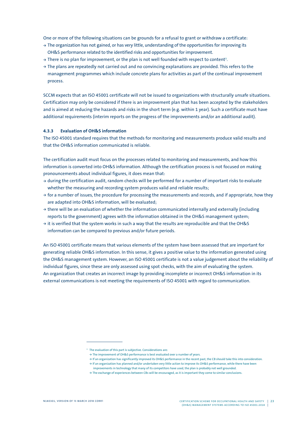One or more of the following situations can be grounds for a refusal to grant or withdraw a certificate:

- **<sup>&</sup>gt;** The organization has not gained, or has very little, understanding of the opportunities for improving its OH&S performance related to the identified risks and opportunities for improvement.
- $\rightarrow$  There is no plan for improvement, or the plan is not well founded with respect to content $^3$ .
- **<sup>&</sup>gt;** The plans are repeatedly not carried out and no convincing explanations are provided. This refers to the management programmes which include concrete plans for activities as part of the continual improvement process.

SCCM expects that an ISO 45001 certificate will not be issued to organizations with structurally unsafe situations. Certification may only be considered if there is an improvement plan that has been accepted by the stakeholders and is aimed at reducing the hazards and risks in the short term (e.g. within 1 year). Such a certificate must have additional requirements (interim reports on the progress of the improvements and/or an additional audit).

#### **4.3.3 Evaluation of OH&S information**

The ISO 45001 standard requires that the methods for monitoring and measurements produce valid results and that the OH&S information communicated is reliable.

The certification audit must focus on the processes related to monitoring and measurements, and how this information is converted into OH&S information. Although the certification process is not focused on making pronouncements about individual figures, it does mean that:

- **<sup>&</sup>gt;** during the certification audit, random checks will be performed for a number of important risks to evaluate whether the measuring and recording system produces valid and reliable results;
- **<sup>&</sup>gt;** for a number of issues, the procedure for processing the measurements and records, and if appropriate, how they are adapted into OH&S information, will be evaluated;
- **<sup>&</sup>gt;** there will be an evaluation of whether the information communicated internally and externally (including reports to the government) agrees with the information obtained in the OH&S management system;
- **<sup>&</sup>gt;** it is verified that the system works in such a way that the results are reproducible and that the OH&S information can be compared to previous and/or future periods.

An ISO 45001 certificate means that various elements of the system have been assessed that are important for generating reliable OH&S information. In this sense, it gives a positive value to the information generated using the OH&S management system. However, an ISO 45001 certificate is not a value judgement about the reliability of individual figures, since these are only assessed using spot checks, with the aim of evaluating the system. An organization that creates an incorrect image by providing incomplete or incorrect OH&S information in its external communications is not meeting the requirements of ISO 45001 with regard to communication.

improvements in technology that many of its competitors have used, the plan is probably not well grounded.

<sup>&</sup>lt;sup>3</sup> The evaluation of this part is subjective. Considerations are:

**<sup>&</sup>gt;** The improvement of OH&S performance is best evaluated over a number of years.

**<sup>&</sup>gt;** If an organization has significantly improved its OH&S performance in the recent past, the CB should take this into consideration.

**<sup>&</sup>gt;** If an organization has planned and/or undertaken very little action to improve its OH&S performance, while there have been

**<sup>&</sup>gt;** The exchange of experiences between CBs will be encouraged, as it is important they come to similar conclusions.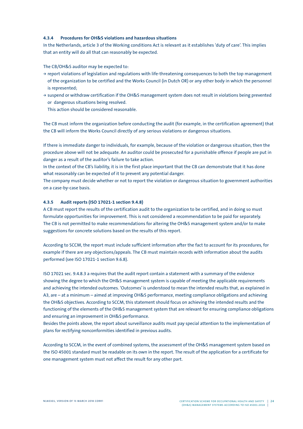#### **4.3.4 Procedures for OH&S violations and hazardous situations**

In the Netherlands, article 3 of the Working conditions Act is relevant as it establishes 'duty of care'. This implies that an entity will do all that can reasonably be expected.

The CB/OH&S auditor may be expected to:

- **<sup>&</sup>gt;** report violations of legislation and regulations with life-threatening consequences to both the top management of the organization to be certified and the Works Council (in Dutch OR) or any other body in which the personnel is represented;
- **<sup>&</sup>gt;** suspend or withdraw certification if the OH&S management system does not result in violations being prevented or dangerous situations being resolved.

This action should be considered reasonable.

The CB must inform the organization before conducting the audit (for example, in the certification agreement) that the CB will inform the Works Council directly of any serious violations or dangerous situations.

If there is immediate danger to individuals, for example, because of the violation or dangerous situation, then the procedure above will not be adequate. An auditor could be prosecuted for a punishable offence if people are put in danger as a result of the auditor's failure to take action.

In the context of the CB's liability, it is in the first place important that the CB can demonstrate that it has done what reasonably can be expected of it to prevent any potential danger.

The company must decide whether or not to report the violation or dangerous situation to government authorities on a case-by-case basis.

#### **4.3.5 Audit reports (ISO 17021-1 section 9.4.8)**

A CB must report the results of the certification audit to the organization to be certified, and in doing so must formulate opportunities for improvement. This is not considered a recommendation to be paid for separately. The CB is not permitted to make recommendations for altering the OH&S management system and/or to make suggestions for concrete solutions based on the results of this report.

According to SCCM, the report must include sufficient information after the fact to account for its procedures, for example if there are any objections/appeals. The CB must maintain records with information about the audits performed (see ISO 17021-1 section 9.6.8).

ISO 17021 sec. 9.4.8.3 a requires that the audit report contain a statement with a summary of the evidence showing the degree to which the OH&S management system is capable of meeting the applicable requirements and achieving the intended outcomes. 'Outcomes' is understood to mean the intended results that, as explained in A3, are – at a minimum – aimed at improving OH&S performance, meeting compliance obligations and achieving the OH&S objectives. According to SCCM, this statement should focus on achieving the intended results and the functioning of the elements of the OH&S management system that are relevant for ensuring compliance obligations and ensuring an improvement in OH&S performance.

Besides the points above, the report about surveillance audits must pay special attention to the implementation of plans for rectifying nonconformities identified in previous audits.

According to SCCM, in the event of combined systems, the assessment of the OH&S management system based on the ISO 45001 standard must be readable on its own in the report. The result of the application for a certificate for one management system must not affect the result for any other part.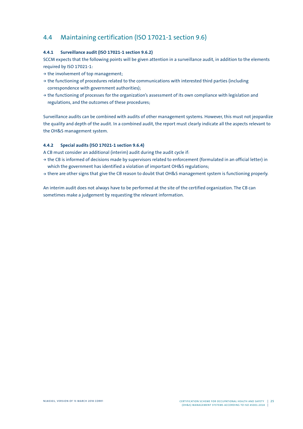## 4.4 Maintaining certification (ISO 17021-1 section 9.6)

#### **4.4.1 Surveillance audit (ISO 17021-1 section 9.6.2)**

SCCM expects that the following points will be given attention in a surveillance audit, in addition to the elements required by ISO 17021-1:

- **<sup>&</sup>gt;** the involvement of top management;
- **<sup>&</sup>gt;** the functioning of procedures related to the communications with interested third parties (including correspondence with government authorities);
- **<sup>&</sup>gt;** the functioning of processes for the organization's assessment of its own compliance with legislation and regulations, and the outcomes of these procedures;

Surveillance audits can be combined with audits of other management systems. However, this must not jeopardize the quality and depth of the audit. In a combined audit, the report must clearly indicate all the aspects relevant to the OH&S management system.

#### **4.4.2 Special audits (ISO 17021-1 section 9.6.4)**

A CB must consider an additional (interim) audit during the audit cycle if:

- **<sup>&</sup>gt;** the CB is informed of decisions made by supervisors related to enforcement (formulated in an official letter) in which the government has identified a violation of important OH&S regulations;
- **<sup>&</sup>gt;** there are other signs that give the CB reason to doubt that OH&S management system is functioning properly.

An interim audit does not always have to be performed at the site of the certified organization. The CB can sometimes make a judgement by requesting the relevant information.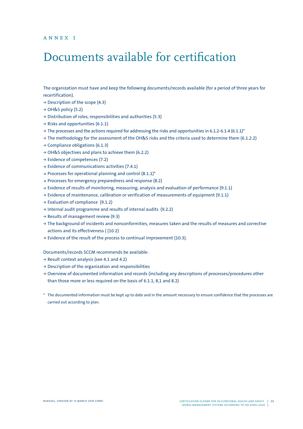# Documents available for certification

The organization must have and keep the following documents/records available (for a period of three years for recertification).

- **<sup>&</sup>gt;** Description of the scope (4.3)
- **<sup>&</sup>gt;** OH&S policy (5.2)
- **<sup>&</sup>gt;** Distribution of roles, responsibilities and authorities (5.3)
- **<sup>&</sup>gt;** Risks and opportunities (6.1.1)
- **<sup>&</sup>gt;** The processes and the actions required for addressing the risks and opportunities in 6.1.2-6.1.4 (6.1.1)\*
- **<sup>&</sup>gt;** The methodology for the assessment of the OH&S risks and the criteria used to determine them (6.1.2.2)
- **<sup>&</sup>gt;** Compliance obligations (6.1.3)
- **<sup>&</sup>gt;** OH&S objectives and plans to achieve them (6.2.2)
- **<sup>&</sup>gt;** Evidence of competences (7.2)
- **<sup>&</sup>gt;** Evidence of communications activities (7.4.1)
- **<sup>&</sup>gt;** Processes for operational planning and control (8.1.1)\*
- **<sup>&</sup>gt;** Processes for emergency preparedness and response (8.2)
- **<sup>&</sup>gt;** Evidence of results of monitoring, measuring, analysis and evaluation of performance (9.1.1)
- **<sup>&</sup>gt;** Evidence of maintenance, calibration or verification of measurements of equipment (9.1.1)
- **<sup>&</sup>gt;** Evaluation of compliance (9.1.2)
- **<sup>&</sup>gt;** Internal audit programme and results of internal audits (9.2.2)
- **<sup>&</sup>gt;** Results of management review (9.3)
- **<sup>&</sup>gt;** The background of incidents and nonconformities, measures taken and the results of measures and corrective actions and its effectiveness ( (10.2)
- **<sup>&</sup>gt;** Evidence of the result of the process to continual improvement (10.3).

Documents/records SCCM recommends be available:

- **<sup>&</sup>gt;** Result context analysis (see 4.1 and 4.2)
- **<sup>&</sup>gt;** Description of the organization and responsibilities
- **<sup>&</sup>gt;** Overview of documented information and records (including any descriptions of processes/procedures other than those more or less required on the basis of 6.1.1, 8,1 and 8.2)
- \* The documented information must be kept up to date and in the amount necessary to ensure confidence that the processes are carried out according to plan.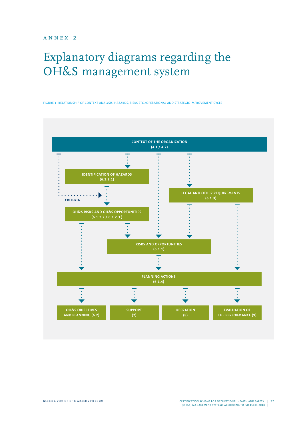# Explanatory diagrams regarding the OH&S management system

Figure 1: Relationship of context analysis, hazards, risks etc./operational and strategic improvement cycle

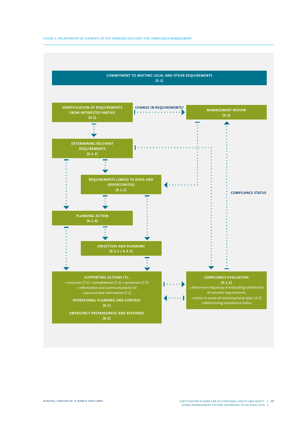

#### Figure 2: Relationship of elements of the standard relevant for compliance management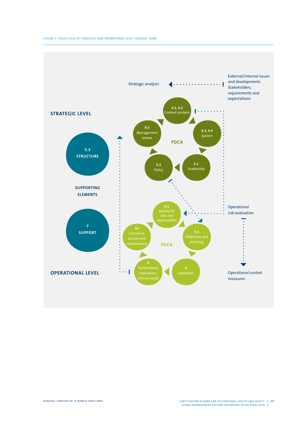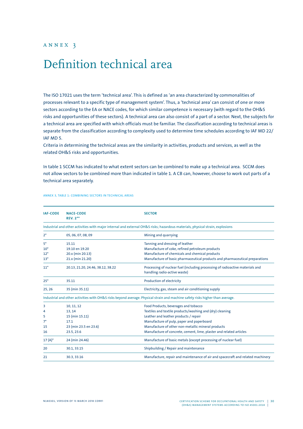## Definition technical area

The ISO 17021 uses the term 'technical area'. This is defined as 'an area characterized by commonalities of processes relevant to a specific type of management system'. Thus, a 'technical area' can consist of one or more sectors according to the EA or NACE codes, for which similar competence is necessary (with regard to the OH&S risks and opportunities of these sectors). A technical area can also consist of a part of a sector. Next, the subjects for a technical area are specified with which officials must be familiar. The classification according to technical areas is separate from the classification according to complexity used to determine time schedules according to IAF MD 22/ IAF MD 5.

Criteria in determining the technical areas are the similarity in activities, products and services, as well as the related OH&S risks and opportunities.

In table 1 SCCM has indicated to what extent sectors can be combined to make up a technical area. SCCM does not allow sectors to be combined more than indicated in table 1. A CB can, however, choose to work out parts of a technical area separately.

| <b>IAF-CODE</b> | <b>NACE-CODE</b><br><b>REV. 2**</b> | <b>SECTOR</b>                                                                                                                 |
|-----------------|-------------------------------------|-------------------------------------------------------------------------------------------------------------------------------|
|                 |                                     | Industrial and other activities with major internal and external OH&S risks; hazardous materials, physical strain, explosions |
| $2^*$           | 05, 06, 07, 08, 09                  | Mining and quarrying                                                                                                          |
| $5*$            | 15.11                               | Tanning and dressing of leather                                                                                               |
| $10*$           | 19.10 en 19.20                      | Manufacture of coke, refined petroleum products                                                                               |
| $12*$           | 20.x (min 20.13)                    | Manufacture of chemicals and chemical products                                                                                |
| $13*$           | 21.x (min 21.20)                    | Manufacture of basic pharmaceutical products and pharmaceutical preparations                                                  |
| $11*$           | 20.13, 21.20, 24.46, 38.12, 38.22   | Processing of nuclear fuel (including processing of radioactive materials and<br>handling radio-active waste)                 |
| $25*$           | 35.11                               | Production of electricity                                                                                                     |
| 25, 26          | 35 (min 35.11)                      | Electricity, gas, steam and air conditioning supply                                                                           |
|                 |                                     | Industrial and other activities with OH&S risks beyond average. Physical strain and machine safety risks higher than average. |
| 3               | 10, 11, 12                          | Food Products, beverages and tobacco                                                                                          |
| 4               | 13, 14                              | Textiles and textile products/washing and (dry) cleaning                                                                      |
| 5               | 15 (min 15.11)                      | Leather and leather products / repair                                                                                         |
| $7^*$           | 17.1                                | Manufacture of pulp, paper and paperboard                                                                                     |
| 15              | 23 (min 23.5 en 23.6)               | Manufacture of other non-metallic mineral products                                                                            |
| 16              | 23.5, 23.6                          | Manufacture of concrete, cement, lime, plaster and related articles                                                           |
| $17(A)^*$       | 24 (min 24.46)                      | Manufacture of basic metals (except processing of nuclear fuel)                                                               |
| 20              | 30.1, 33.15                         | Shipbuilding / Repair and maintenance                                                                                         |
| 21              | 30.3, 33.16                         | Manufacture, repair and maintenance of air and spacecraft and related machinery                                               |

annex 3, table 1: Combining sectors in technical areas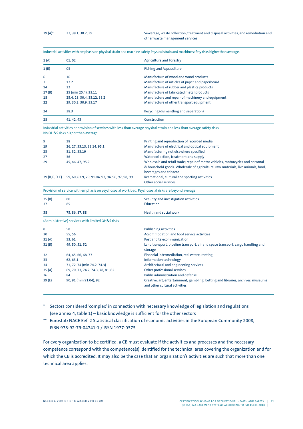39 (A)\* 37, 38.1, 38.2, 39 Sewerage, waste collection, treatment and disposal activities, and remediation and other waste management services

| Industrial activities with emphasis on physical strain and machine safety. Physical strain and machine safety risks higher than average. |                             |                                                                                                                           |  |  |  |
|------------------------------------------------------------------------------------------------------------------------------------------|-----------------------------|---------------------------------------------------------------------------------------------------------------------------|--|--|--|
| 1(A)                                                                                                                                     | 01, 02                      | <b>Agriculture and Forestry</b>                                                                                           |  |  |  |
| 1(B)                                                                                                                                     | 03                          | <b>Fishing and Aquaculture</b>                                                                                            |  |  |  |
| 6                                                                                                                                        | 16                          | Manufacture of wood and wood products                                                                                     |  |  |  |
| 7                                                                                                                                        | 17.2                        | Manufacture of articles of paper and paperboard                                                                           |  |  |  |
| 14                                                                                                                                       | 22                          | Manufacture of rubber and plastics products                                                                               |  |  |  |
| 17(B)                                                                                                                                    | 25 (min 25.4), 33.11        | Manufacture of fabricated metal products                                                                                  |  |  |  |
| 18                                                                                                                                       | 25.4, 28, 30.4, 33.12, 33.2 | Manufacture and repair of machinery and equipment                                                                         |  |  |  |
| 22                                                                                                                                       | 29, 30.2, 30.9, 33.17       | Manufacture of other transport equipment                                                                                  |  |  |  |
| 24                                                                                                                                       | 38.3                        | Recycling (dismantling and separation)                                                                                    |  |  |  |
| 28                                                                                                                                       | 41, 42, 43                  | Construction                                                                                                              |  |  |  |
|                                                                                                                                          |                             | Industrial activities or provision of services with less than average physical strain and less than average safety risks. |  |  |  |

No OH&S risks higher than average

| 9              | 18                                              | Printing and reproduction of recorded media                                     |
|----------------|-------------------------------------------------|---------------------------------------------------------------------------------|
| 19             | 26, 27, 33.13, 33.14, 95.1                      | Manufacture of electrical and optical equipment                                 |
| 23             | 31, 32, 33.19                                   | Manufacturing not elsewhere specified                                           |
| 27             | 36                                              | Water collection, treatment and supply                                          |
| 29             | 45, 46, 47, 95.2                                | Wholesale and retail trade; repair of motor vehicles, motorcycles and personal  |
|                |                                                 | & household goods. Wholesale of agricultural raw materials, live animals, food, |
|                |                                                 | beverages and tobacco                                                           |
| 39 (B,C, D, F) | 59, 60, 63.9, 79, 91.04, 93, 94, 96, 97, 98, 99 | Recreational, cultural and sporting activities                                  |
|                |                                                 | Other social services                                                           |

Provision of service with emphasis on psychosocial workload. Psychosocial risks are beyond average

| 35(B)  | 80                                                | Security and investigation activities<br>Education                               |  |
|--------|---------------------------------------------------|----------------------------------------------------------------------------------|--|
| 37     | 85                                                |                                                                                  |  |
| 38     | 75, 86, 87, 88                                    | Health and social work                                                           |  |
|        | (Administrative) services with limited OH&S risks |                                                                                  |  |
| 8      | 58                                                | <b>Publishing activities</b>                                                     |  |
| 30     | 55,56                                             | Accommodation and food service activities                                        |  |
| 31(A)  | 53, 61                                            | Post and telecommunication                                                       |  |
| 31(B)  | 49, 50, 51, 52                                    | Land transport, pipeline transport, air and space transport, cargo handling and  |  |
|        |                                                   | storage                                                                          |  |
| 32     | 64, 65, 66, 68, 77                                | Financial intermediation, real estate, renting                                   |  |
| 33     | 62, 63.1                                          | Information technology                                                           |  |
| 34     | 71, 72, 74 (min 74.2, 74.3)                       | Architectural and engineering services                                           |  |
| 35(A)  | 69, 70, 73, 74.2, 74.3, 78, 81, 82                | Other professional services                                                      |  |
| 36     | 84                                                | Public administration and defense                                                |  |
| 39 (E) | 90, 91 (min 91.04), 92                            | Creative, art, entertainment, gambling, betting and libraries, archives, museums |  |

and other cultural activities

\* Sectors considered 'complex' in connection with necessary knowledge of legislation and regulations (see annex 4, table 1) – basic knowledge is sufficient for the other sectors

\*\* Eurostat: NACE Ref. 2 Statistical classification of economic activities in the European Community 2008, ISBN 978-92-79-04741-1 / ISSN 1977-0375

For every organization to be certified, a CB must evaluate if the activities and processes and the necessary competence correspond with the competence(s) identified for the technical area covering the organization and for which the CB is accredited. It may also be the case that an organization's activities are such that more than one technical area applies.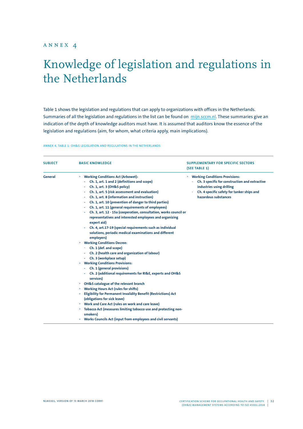# Knowledge of legislation and regulations in the Netherlands

Table 1 shows the legislation and regulations that can apply to organizations with offices in the Netherlands. Summaries of all the legislation and regulations in the list can be found on [mijn.sccm.nl](http://mijn.sccm.nl/). These summaries give an indication of the depth of knowledge auditors must have. It is assumed that auditors know the essence of the legislation and regulations (aim, for whom, what criteria apply, main implications).

Annex 4, table 1: OH&S legislation and regulations in the Netherlands

| <b>SUBJECT</b> | <b>BASIC KNOWLEDGE</b>                                                                                                                                                                                                                                                                                                                                                                                                                                                                                                                                                                                                                                                                                                                                                                                                                                                                                                                                                                                                                                                                                                                                                                                                                                                                                                                                           | <b>SUPPLEMENTARY FOR SPECIFIC SECTORS</b><br>(SEE TABLE 1)                                                                                                                            |
|----------------|------------------------------------------------------------------------------------------------------------------------------------------------------------------------------------------------------------------------------------------------------------------------------------------------------------------------------------------------------------------------------------------------------------------------------------------------------------------------------------------------------------------------------------------------------------------------------------------------------------------------------------------------------------------------------------------------------------------------------------------------------------------------------------------------------------------------------------------------------------------------------------------------------------------------------------------------------------------------------------------------------------------------------------------------------------------------------------------------------------------------------------------------------------------------------------------------------------------------------------------------------------------------------------------------------------------------------------------------------------------|---------------------------------------------------------------------------------------------------------------------------------------------------------------------------------------|
| General        | > Working Conditions Act (Arbowet):<br>Ch. 1, art. 1 and 2 (definitions and scope)<br>Ch. 1, art. 3 (OH&S policy)<br>Ch. 1, art. 5 (risk assessment and evaluation)<br>Ch. 1, art. 8 (information and instruction)<br>Ch. 1, art. 10 (prevention of danger to third parties)<br>Ch. 1, art. 11 (general requirements of employees)<br>Ch. 3, art. 12 - 15a (cooperation, consultation, works council or<br>representatives and interested employees and organizing<br>expert aid)<br>Ch. 4, art.17-19 (special requirements such as individual<br>solutions, periodic medical examinations and different<br>employers)<br><b>Working Conditions Decree:</b><br>$\geq$<br>Ch. 1 (def. and scope)<br>Ch. 2 (health care and organization of labour)<br>Ch. 3 (workplace setup)<br><b>Working Conditions Provisions:</b><br>><br>Ch. 1 (general provisions)<br>Ch. 2 (additional requirements for RI&E, experts and OH&S<br>services)<br>> OH&S catalogue of the relevant branch<br><b>Working Hours Act (rules for shifts)</b><br><b>Eligibility for Permanent Invalidity Benefit (Restrictions) Act</b><br>(obligations for sick leave)<br>> Work and Care Act (rules on work and care leave)<br>Tobacco Act (measures limiting tobacco use and protecting non-<br>><br>smokers)<br><b>Works Councils Act (input from employees and civil servants)</b><br>$\geq$ | > Working Conditions Provisions:<br>Ch. 3 specific for construction and extractive<br>industries using drilling<br>Ch. 4 specific safety for tanker ships and<br>hazardous substances |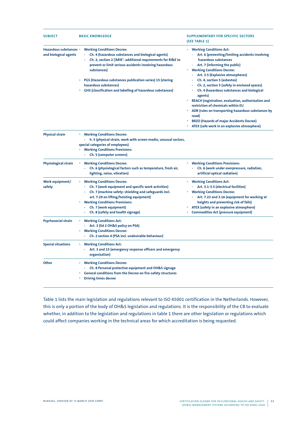| <b>SUBJECT</b>                                  | <b>BASIC KNOWLEDGE</b>                                                                                                                                                                                                                                                                                                                                                                          | <b>SUPPLEMENTARY FOR SPECIFIC SECTORS</b><br>(SEE TABLE 1)                                                                                                                                                                                                                                                                                                                                                                                                                                                                                                                                                            |
|-------------------------------------------------|-------------------------------------------------------------------------------------------------------------------------------------------------------------------------------------------------------------------------------------------------------------------------------------------------------------------------------------------------------------------------------------------------|-----------------------------------------------------------------------------------------------------------------------------------------------------------------------------------------------------------------------------------------------------------------------------------------------------------------------------------------------------------------------------------------------------------------------------------------------------------------------------------------------------------------------------------------------------------------------------------------------------------------------|
| Hazardous substances ><br>and biological agents | <b>Working Conditions Decree:</b><br>Ch. 4 (hazardous substances and biological agents)<br>Ch. 2, section 2 ('ARIE': additional requirements for RI&E to<br>÷.<br>prevent or limit serious accidents involving hazardous<br>substances)<br>> PGS (Hazardous substances publication series) 15 (storing<br>hazardous substances)<br>> GHS (classification and labelling of hazardous substances) | > Working Conditions Act:<br>Art. 6 (preventing/limiting accidents involving<br>hazardous substances<br>Art. 7 (informing the public)<br>> Working Conditions Decree:<br>Art. 3.5 (Explosive atmospheres)<br>Ch. 4, section 5 (asbestos)<br>Ch. 2, section 5 (safety in enclosed spaces)<br>Ch. 4 (hazardous substances and biological<br>agents)<br>> REACH (registration, evaluation, authorization and<br>restriction of chemicals within EU<br>> ADR (rules on transporting hazardous substances by<br>road)<br>> BRZO (Hazards of major Accidents Decree)<br>ATEX (safe work in an explosive atmosphere)<br>$\,$ |
| <b>Physical strain</b>                          | <b>Working Conditions Decree:</b><br>÷,<br>h. 5 (physical strain, work with screen media, unusual sectors,<br>special categories of employees)<br>> Working Conditions Provisions:<br>Ch. 5 (computer screens)<br>÷                                                                                                                                                                             |                                                                                                                                                                                                                                                                                                                                                                                                                                                                                                                                                                                                                       |
| Physiological strain                            | > Working Conditions Decree:<br>Ch. 6 (physiological factors such as temperature, fresh air,<br>e i<br>lighting, noise, vibration)                                                                                                                                                                                                                                                              | > Working Conditions Provisions:<br>Ch. 6 (work under overpressure, radiation,<br>artificial optical radiation)                                                                                                                                                                                                                                                                                                                                                                                                                                                                                                       |
| Work equipment/<br>safety                       | <b>Working Conditions Decree:</b><br>Ch. 7 (work equipment and specific work activities)<br>a.<br>- Ch. 7 (machine safety: shielding and safeguards incl.<br>art. 7.29 on lifting/hoisting equipment)<br><b>Working Conditions Provisions:</b><br>Ch. 7 (work equipment)<br>÷.<br>Ch. 8 (safety and health signage)<br>÷,                                                                       | > Working Conditions Act:<br>- Art. 3.1-3.5 (electrical facilities)<br>> Working Conditions Decree:<br>Art. 7.23 and 3.16 (equipment for working at<br>heights and preventing risk of falls)<br>ATEX (safety in an explosive atmosphere)<br>$\,$<br>> Commodities Act (pressure equipment)                                                                                                                                                                                                                                                                                                                            |
| Psychosocial strain                             | > Working Conditions Act:<br>- Art. 3 (lid 2 OH&S policy on PSA)<br><b>Working Conditions Decree:</b><br>Ch. 2 section 4 (PSA incl. undesirable behaviour)                                                                                                                                                                                                                                      |                                                                                                                                                                                                                                                                                                                                                                                                                                                                                                                                                                                                                       |
| <b>Special situations</b>                       | <b>Working Conditions Act:</b><br>- Art. 3 and 15 (emergency response officers and emergency<br>organization)                                                                                                                                                                                                                                                                                   |                                                                                                                                                                                                                                                                                                                                                                                                                                                                                                                                                                                                                       |
| Other                                           | > Working Conditions Decree:<br>- Ch. 8 Personal protective equipment and OH&S signage<br>General conditions from the Decree on fire-safety structures<br><b>Driving times decree</b>                                                                                                                                                                                                           |                                                                                                                                                                                                                                                                                                                                                                                                                                                                                                                                                                                                                       |

Table 1 lists the main legislation and regulations relevant to ISO 45001 certification in the Netherlands. However, this is only a portion of the body of OH&S legislation and regulations. It is the responsibility of the CB to evaluate whether, in addition to the legislation and regulations in table 1 there are other legislation or regulations which could affect companies working in the technical areas for which accreditation is being requested.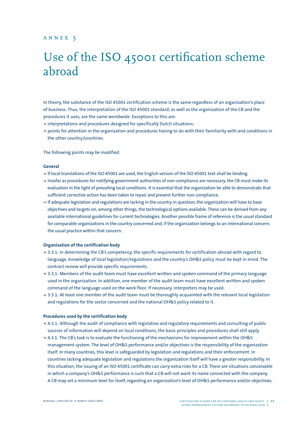#### $A N N E X 5$

# Use of the ISO 45001 certification scheme abroad

In theory, the substance of the ISO 45001 certification scheme is the same regardless of an organization's place of business. Thus, the interpretation of the ISO 45001 standard, as well as the organization of the CB and the procedures it uses, are the same worldwide. Exceptions to this are:

- **<sup>&</sup>gt;** interpretations and procedures designed for specifically Dutch situations;
- **<sup>&</sup>gt;** points for attention in the organization and procedures having to do with their familiarity with and conditions in the other country/countries.

The following points may be modified.

#### **General**

- **<sup>&</sup>gt;** If local translations of the ISO 45001 are used, the English version of the ISO 45001 text shall be binding.
- **<sup>&</sup>gt;** Insofar as procedures for notifying government authorities of non-compliance are necessary, the CB must make its evaluation in the light of prevailing local conditions. It is essential that the organization be able to demonstrate that sufficient corrective action has been taken to repair and prevent further non-compliance.
- **<sup>&</sup>gt;** If adequate legislation and regulations are lacking in the country in question, the organization will have to base objectives and targets on, among other things, the technological options available. These can be derived from any available international guidelines for current technologies. Another possible frame of reference is the usual standard for comparable organizations in the country concerned and, if the organization belongs to an international concern, the usual practice within that concern.

#### **Organization of the certification body**

- **<sup>&</sup>gt;** 3.3.1: In determining the CB's competency, the specific requirements for certification abroad with regard to language, knowledge of local legislation/regulations and the country's OH&S policy must be kept in mind. The contract review will provide specific requirements.
- **<sup>&</sup>gt;** 3.3.1: Members of the audit team must have excellent written and spoken command of the primary language used in the organization. In addition, one member of the audit team must have excellent written and spoken command of the language used on the work floor. If necessary, interpreters may be used.
- **<sup>&</sup>gt;** 3.3.1: At least one member of the audit team must be thoroughly acquainted with the relevant local legislation and regulations for the sector concerned and the national OH&S policy related to it.

#### **Procedures used by the certification body**

- **<sup>&</sup>gt;** 4.3.1: Although the audit of compliance with legislative and regulatory requirements and consulting of public sources of information will depend on local conditions, the basic principles and procedures shall still apply.
- **<sup>&</sup>gt;** 4.3.1: The CB's task is to evaluate the functioning of the mechanisms for improvement within the OH&S management system. The level of OH&S performance and/or objectives is the responsibility of the organization itself. In many countries, this level is safeguarded by legislation and regulations and their enforcement. In countries lacking adequate legislation and regulations the organization itself will have a greater responsibility. In this situation, the issuing of an ISO 45001 certificate can carry extra risks for a CB. There are situations conceivable in which a company's OH&S performance is such that a CB will not want its name connected with the company. A CB may set a minimum level for itself, regarding an organization's level of OH&S performance and/or objectives.